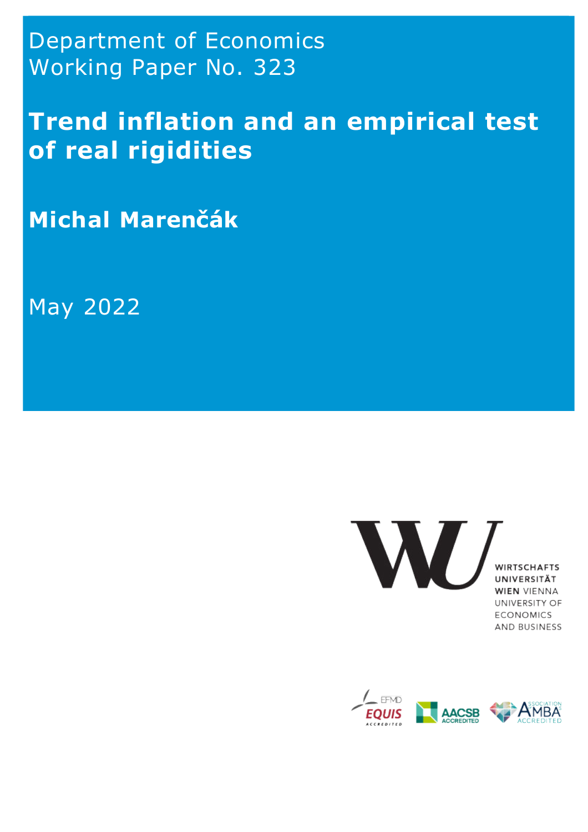Department of Economics Working Paper No. 323

**Trend inflation and an empirical test of real rigidities**

**Michal Marenčák**

May 2022



**WIEN VIENNA** UNIVERSITY OF **ECONOMICS** AND BUSINESS

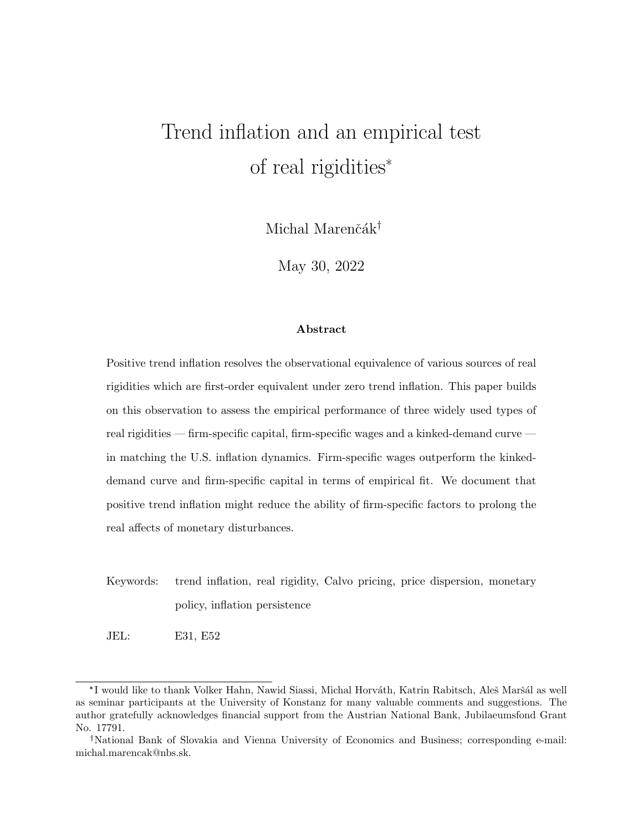# Trend inflation and an empirical test ation and an emport real rigidities<sup>\*</sup> ion and an en<br>† real rigidities<br>Michal Marenčák<sup>†</sup>

May 30, 2022

### **Abstract**

Positive trend inflation resolves the observational equivalence of various sources of real rigidities which are first-order equivalent under zero trend inflation. This paper builds on this observation to assess the empirical performance of three widely used types of real rigidities — firm-specific capital, firm-specific wages and a kinked-demand curve in matching the U.S. inflation dynamics. Firm-specific wages outperform the kinkeddemand curve and firm-specific capital in terms of empirical fit. We document that positive trend inflation might reduce the ability of firm-specific factors to prolong the real affects of monetary disturbances.

- Keywords: trend inflation, real rigidity, Calvo pricing, price dispersion, monetary policy, inflation persistence
- JEL: E31, E52

policy, inflation persistence<br>
JEL: E31, E52<br>
\*I would like to thank Volker Hahn, Nawid Siassi, Michal Horváth, Katrin Rabitsch, Aleš Maršál as well<br>
seminar participants at the University of Konstanz for many valuable com as seminar participants at the University of Konstanz for many valuable comments and suggestions. The author gratefully acknowledges financial support from the Austrian National Bank, Jubilaeumsfond Grant No. 17791.  $*$ I would like to thank Volker Hahn, Nawid Siassi, Michal Horváth, Katrin Rabitsch, Aleš Maršál as well seminar participants at the University of Konstanz for many valuable comments and suggestions. The hor gratefully ac

michal.marencak@nbs.sk.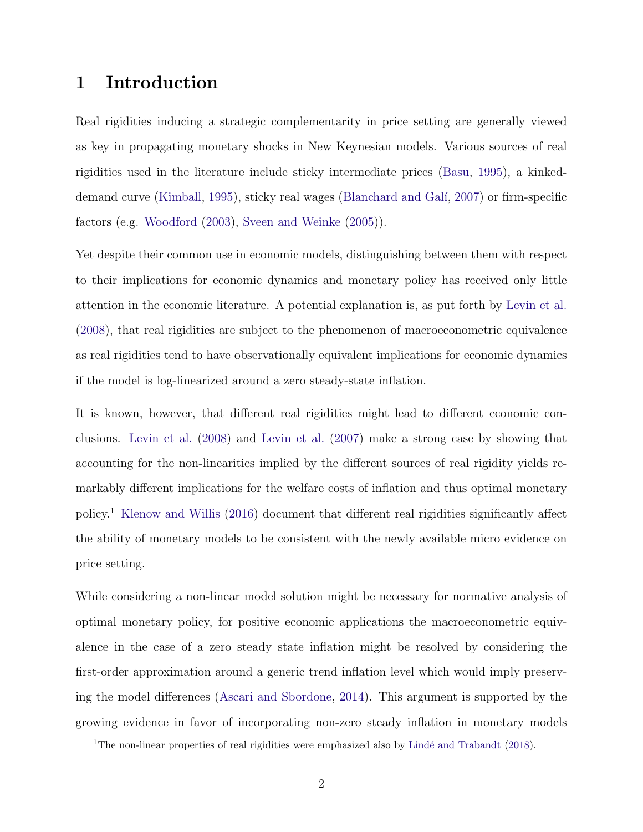# **1 Introduction**

Real rigidities inducing a strategic complementarity in price setting are generally viewed as key in propagating monetary shocks in New Keynesian models. Various sources of real rigidities used in the literature include sticky intermediate prices (Basu, 1995), a kinkeddemand curve (Kimball, 1995), sticky real wages (Blanchard and Gal´ı, 2007) or firm-specific factors (e.g. Woodford (2003), Sveen and Weinke (2005)).

Yet despite their common use in economic models, distinguishing between them with respect to their implications for economic dynamics and monetary policy has received only little attention in the economic literature. A potential explanation is, as put forth by Levin et al. (2008), that real rigidities are subject to the phenomenon of macroeconometric equivalence as real rigidities tend to have observationally equivalent implications for economic dynamics if the model is log-linearized around a zero steady-state inflation.

It is known, however, that different real rigidities might lead to different economic conclusions. Levin et al. (2008) and Levin et al. (2007) make a strong case by showing that accounting for the non-linearities implied by the different sources of real rigidity yields remarkably different implications for the welfare costs of inflation and thus optimal monetary policy.<sup>1</sup> Klenow and Willis (2016) document that different real rigidities significantly affect the ability of monetary models to be consistent with the newly available micro evidence on price setting.

While considering a non-linear model solution might be necessary for normative analysis of optimal monetary policy, for positive economic applications the macroeconometric equivalence in the case of a zero steady state inflation might be resolved by considering the first-order approximation around a generic trend inflation level which would imply preserving the model differences (Ascari and Sbordone, 2014). This argument is supported by the growing evidence in favor of incorporating non-zero steady inflation in monetary models

<sup>&</sup>lt;sup>1</sup>The non-linear properties of real rigidities were emphasized also by Lindé and Trabandt (2018).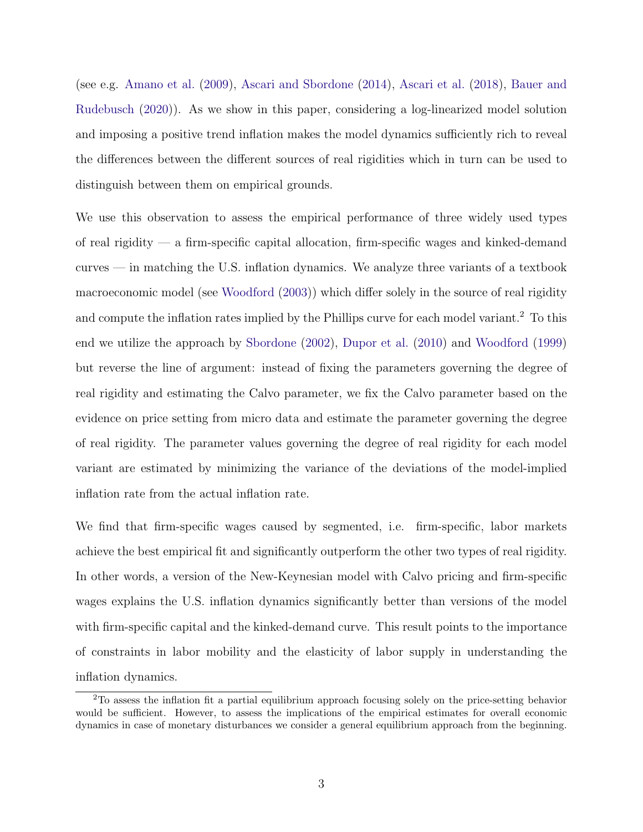(see e.g. Amano et al. (2009), Ascari and Sbordone (2014), Ascari et al. (2018), Bauer and Rudebusch (2020)). As we show in this paper, considering a log-linearized model solution and imposing a positive trend inflation makes the model dynamics sufficiently rich to reveal the differences between the different sources of real rigidities which in turn can be used to distinguish between them on empirical grounds.

We use this observation to assess the empirical performance of three widely used types of real rigidity — a firm-specific capital allocation, firm-specific wages and kinked-demand curves — in matching the U.S. inflation dynamics. We analyze three variants of a textbook macroeconomic model (see Woodford (2003)) which differ solely in the source of real rigidity and compute the inflation rates implied by the Phillips curve for each model variant.<sup>2</sup> To this end we utilize the approach by Sbordone (2002), Dupor et al. (2010) and Woodford (1999) but reverse the line of argument: instead of fixing the parameters governing the degree of real rigidity and estimating the Calvo parameter, we fix the Calvo parameter based on the evidence on price setting from micro data and estimate the parameter governing the degree of real rigidity. The parameter values governing the degree of real rigidity for each model variant are estimated by minimizing the variance of the deviations of the model-implied inflation rate from the actual inflation rate.

We find that firm-specific wages caused by segmented, i.e. firm-specific, labor markets achieve the best empirical fit and significantly outperform the other two types of real rigidity. In other words, a version of the New-Keynesian model with Calvo pricing and firm-specific wages explains the U.S. inflation dynamics significantly better than versions of the model with firm-specific capital and the kinked-demand curve. This result points to the importance of constraints in labor mobility and the elasticity of labor supply in understanding the inflation dynamics.

<sup>2</sup>To assess the inflation fit a partial equilibrium approach focusing solely on the price-setting behavior would be sufficient. However, to assess the implications of the empirical estimates for overall economic dynamics in case of monetary disturbances we consider a general equilibrium approach from the beginning.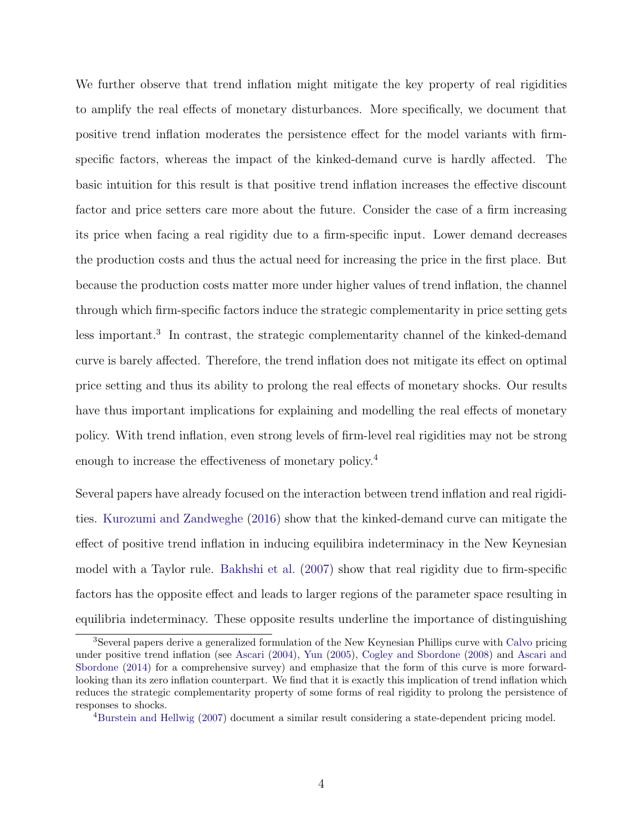We further observe that trend inflation might mitigate the key property of real rigidities to amplify the real effects of monetary disturbances. More specifically, we document that positive trend inflation moderates the persistence effect for the model variants with firmspecific factors, whereas the impact of the kinked-demand curve is hardly affected. The basic intuition for this result is that positive trend inflation increases the effective discount factor and price setters care more about the future. Consider the case of a firm increasing its price when facing a real rigidity due to a firm-specific input. Lower demand decreases the production costs and thus the actual need for increasing the price in the first place. But because the production costs matter more under higher values of trend inflation, the channel through which firm-specific factors induce the strategic complementarity in price setting gets less important.<sup>3</sup> In contrast, the strategic complementarity channel of the kinked-demand curve is barely affected. Therefore, the trend inflation does not mitigate its effect on optimal price setting and thus its ability to prolong the real effects of monetary shocks. Our results have thus important implications for explaining and modelling the real effects of monetary policy. With trend inflation, even strong levels of firm-level real rigidities may not be strong enough to increase the effectiveness of monetary policy.<sup>4</sup>

Several papers have already focused on the interaction between trend inflation and real rigidities. Kurozumi and Zandweghe (2016) show that the kinked-demand curve can mitigate the effect of positive trend inflation in inducing equilibira indeterminacy in the New Keynesian model with a Taylor rule. Bakhshi et al. (2007) show that real rigidity due to firm-specific factors has the opposite effect and leads to larger regions of the parameter space resulting in equilibria indeterminacy. These opposite results underline the importance of distinguishing

<sup>3</sup>Several papers derive a generalized formulation of the New Keynesian Phillips curve with Calvo pricing under positive trend inflation (see Ascari (2004), Yun (2005), Cogley and Sbordone (2008) and Ascari and Sbordone (2014) for a comprehensive survey) and emphasize that the form of this curve is more forwardlooking than its zero inflation counterpart. We find that it is exactly this implication of trend inflation which reduces the strategic complementarity property of some forms of real rigidity to prolong the persistence of responses to shocks.

<sup>4</sup>Burstein and Hellwig (2007) document a similar result considering a state-dependent pricing model.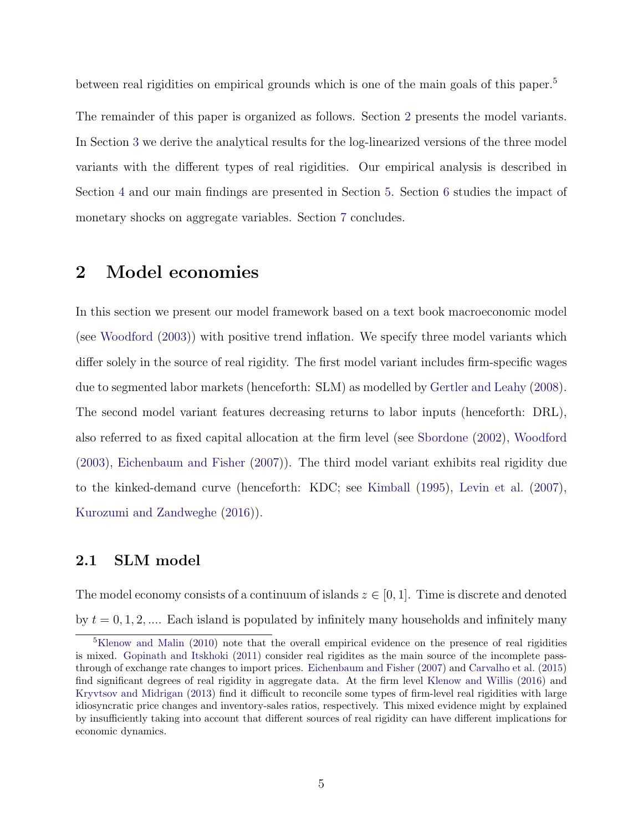between real rigidities on empirical grounds which is one of the main goals of this paper.<sup>5</sup>

The remainder of this paper is organized as follows. Section 2 presents the model variants. In Section 3 we derive the analytical results for the log-linearized versions of the three model variants with the different types of real rigidities. Our empirical analysis is described in Section 4 and our main findings are presented in Section 5. Section 6 studies the impact of monetary shocks on aggregate variables. Section 7 concludes.

## **2 Model economies**

In this section we present our model framework based on a text book macroeconomic model (see Woodford (2003)) with positive trend inflation. We specify three model variants which differ solely in the source of real rigidity. The first model variant includes firm-specific wages due to segmented labor markets (henceforth: SLM) as modelled by Gertler and Leahy (2008). The second model variant features decreasing returns to labor inputs (henceforth: DRL), also referred to as fixed capital allocation at the firm level (see Sbordone (2002), Woodford (2003), Eichenbaum and Fisher (2007)). The third model variant exhibits real rigidity due to the kinked-demand curve (henceforth: KDC; see Kimball (1995), Levin et al. (2007), Kurozumi and Zandweghe (2016)).

### **2.1 SLM model**

The model economy consists of a continuum of islands  $z \in [0, 1]$ . Time is discrete and denoted by  $t = 0, 1, 2, \dots$  Each island is populated by infinitely many households and infinitely many

<sup>&</sup>lt;sup>5</sup>Klenow and Malin (2010) note that the overall empirical evidence on the presence of real rigidities is mixed. Gopinath and Itskhoki (2011) consider real rigidites as the main source of the incomplete passthrough of exchange rate changes to import prices. Eichenbaum and Fisher (2007) and Carvalho et al. (2015) find significant degrees of real rigidity in aggregate data. At the firm level Klenow and Willis (2016) and Kryvtsov and Midrigan (2013) find it difficult to reconcile some types of firm-level real rigidities with large idiosyncratic price changes and inventory-sales ratios, respectively. This mixed evidence might by explained by insufficiently taking into account that different sources of real rigidity can have different implications for economic dynamics.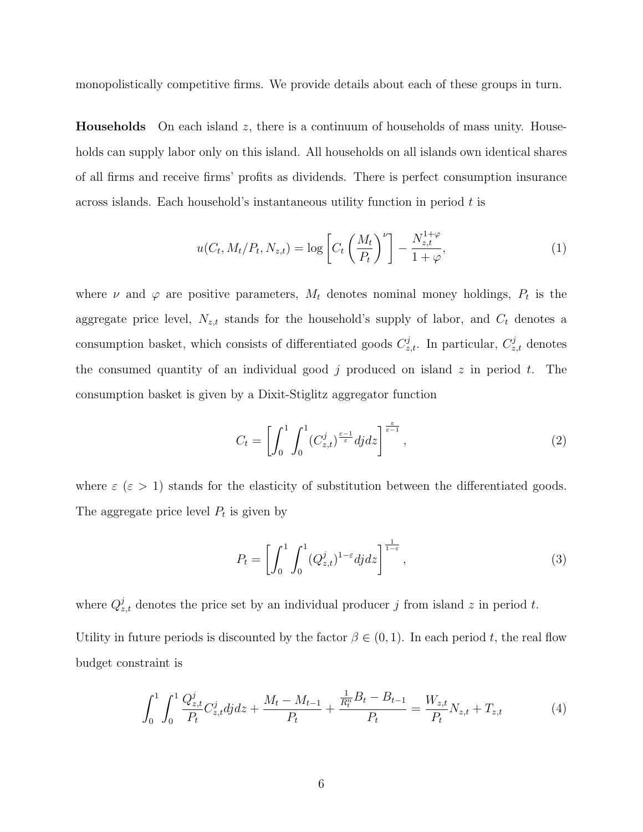monopolistically competitive firms. We provide details about each of these groups in turn.

**Households** On each island *z*, there is a continuum of households of mass unity. Households can supply labor only on this island. All households on all islands own identical shares of all firms and receive firms' profits as dividends. There is perfect consumption insurance across islands. Each household's instantaneous utility function in period *t* is

$$
u(C_t, M_t/P_t, N_{z,t}) = \log \left[ C_t \left( \frac{M_t}{P_t} \right)^{\nu} \right] - \frac{N_{z,t}^{1+\varphi}}{1+\varphi}, \tag{1}
$$

where  $\nu$  and  $\varphi$  are positive parameters,  $M_t$  denotes nominal money holdings,  $P_t$  is the aggregate price level,  $N_{z,t}$  stands for the household's supply of labor, and  $C_t$  denotes a consumption basket, which consists of differentiated goods  $C^j_{z,t}$ . In particular,  $C^j_{z,t}$  denotes the consumed quantity of an individual good *j* produced on island *z* in period *t*. The consumption basket is given by a Dixit-Stiglitz aggregator function

$$
C_t = \left[ \int_0^1 \int_0^1 (C_{z,t}^j)^{\frac{\varepsilon - 1}{\varepsilon}} dj dz \right]^{\frac{\varepsilon}{\varepsilon - 1}},\tag{2}
$$

where  $\varepsilon$  ( $\varepsilon > 1$ ) stands for the elasticity of substitution between the differentiated goods. The aggregate price level  $P_t$  is given by

$$
P_t = \left[ \int_0^1 \int_0^1 (Q_{z,t}^j)^{1-\epsilon} dj dz \right]^{\frac{1}{1-\epsilon}}, \tag{3}
$$

where  $Q_{z,t}^{j}$  denotes the price set by an individual producer *j* from island *z* in period *t*. Utility in future periods is discounted by the factor  $\beta \in (0,1)$ . In each period *t*, the real flow budget constraint is

$$
\int_0^1 \int_0^1 \frac{Q_{z,t}^j}{P_t} C_{z,t}^j dj dz + \frac{M_t - M_{t-1}}{P_t} + \frac{\frac{1}{R_t^n} B_t - B_{t-1}}{P_t} = \frac{W_{z,t}}{P_t} N_{z,t} + T_{z,t} \tag{4}
$$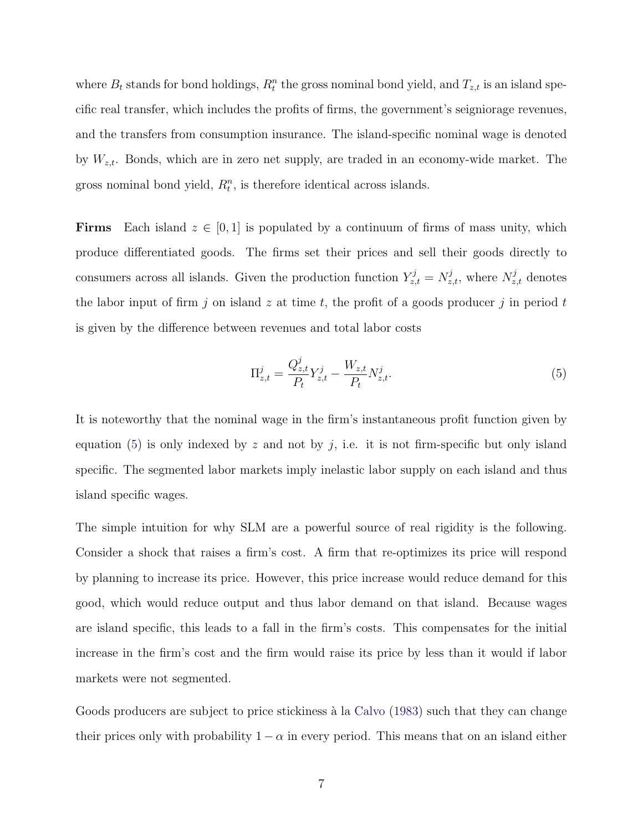where  $B_t$  stands for bond holdings,  $R_t^n$  the gross nominal bond yield, and  $T_{z,t}$  is an island specific real transfer, which includes the profits of firms, the government's seigniorage revenues, and the transfers from consumption insurance. The island-specific nominal wage is denoted by *Wz,t*. Bonds, which are in zero net supply, are traded in an economy-wide market. The gross nominal bond yield,  $R_t^n$ , is therefore identical across islands.

**Firms** Each island  $z \in [0,1]$  is populated by a continuum of firms of mass unity, which produce differentiated goods. The firms set their prices and sell their goods directly to consumers across all islands. Given the production function  $Y_{z,t}^j = N_{z,t}^j$ , where  $N_{z,t}^j$  denotes the labor input of firm  $j$  on island  $z$  at time  $t$ , the profit of a goods producer  $j$  in period  $t$ is given by the difference between revenues and total labor costs

$$
\Pi_{z,t}^j = \frac{Q_{z,t}^j}{P_t} Y_{z,t}^j - \frac{W_{z,t}}{P_t} N_{z,t}^j.
$$
\n(5)

It is noteworthy that the nominal wage in the firm's instantaneous profit function given by equation  $(5)$  is only indexed by *z* and not by *j*, i.e. it is not firm-specific but only island specific. The segmented labor markets imply inelastic labor supply on each island and thus island specific wages.

The simple intuition for why SLM are a powerful source of real rigidity is the following. Consider a shock that raises a firm's cost. A firm that re-optimizes its price will respond by planning to increase its price. However, this price increase would reduce demand for this good, which would reduce output and thus labor demand on that island. Because wages are island specific, this leads to a fall in the firm's costs. This compensates for the initial increase in the firm's cost and the firm would raise its price by less than it would if labor markets were not segmented.

Goods producers are subject to price stickiness à la Calvo (1983) such that they can change their prices only with probability  $1 - \alpha$  in every period. This means that on an island either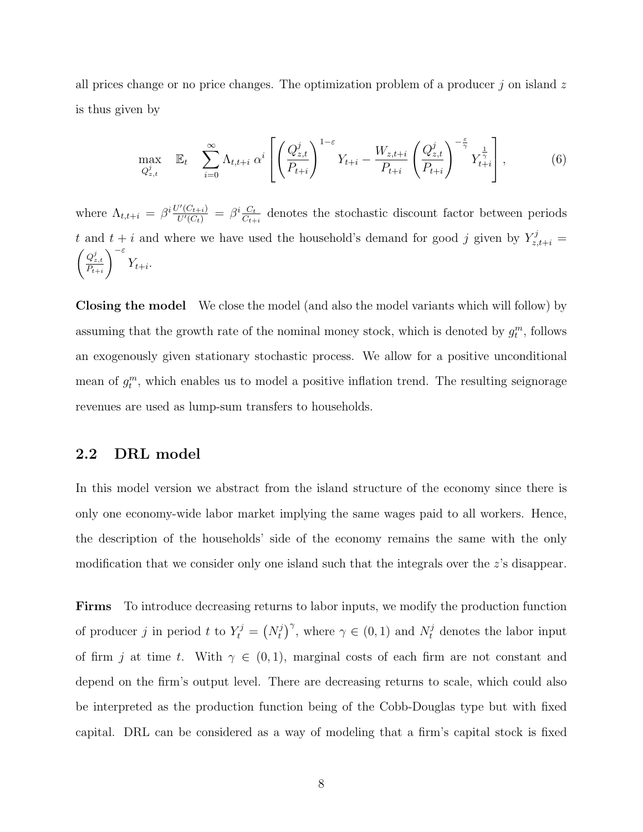all prices change or no price changes. The optimization problem of a producer *j* on island *z* is thus given by

$$
\max_{Q_{z,t}^j} \quad \mathbb{E}_t \quad \sum_{i=0}^{\infty} \Lambda_{t,t+i} \; \alpha^i \left[ \left( \frac{Q_{z,t}^j}{P_{t+i}} \right)^{1-\varepsilon} Y_{t+i} - \frac{W_{z,t+i}}{P_{t+i}} \left( \frac{Q_{z,t}^j}{P_{t+i}} \right)^{-\frac{\varepsilon}{\gamma}} Y_{t+i}^{\frac{1}{\gamma}} \right], \tag{6}
$$

where  $\Lambda_{t,t+i} = \beta^i \frac{U'(C_{t+i})}{U'(C_t)} = \beta^i \frac{C_t}{C_{t+i}}$  denotes the stochastic discount factor between periods *t* and  $t + i$  and where we have used the household's demand for good *j* given by  $Y_{z,t+i}^j =$  $\left(\frac{Q_{z,t}^j}{P_{t+i}}\right)$ *<sup>−</sup><sup>ε</sup> Yt*+*i.*

**Closing the model** We close the model (and also the model variants which will follow) by assuming that the growth rate of the nominal money stock, which is denoted by  $g_t^m$ , follows an exogenously given stationary stochastic process. We allow for a positive unconditional mean of  $g_t^m$ , which enables us to model a positive inflation trend. The resulting seignorage revenues are used as lump-sum transfers to households.

### **2.2 DRL model**

In this model version we abstract from the island structure of the economy since there is only one economy-wide labor market implying the same wages paid to all workers. Hence, the description of the households' side of the economy remains the same with the only modification that we consider only one island such that the integrals over the *z*'s disappear.

**Firms** To introduce decreasing returns to labor inputs, we modify the production function of producer *j* in period *t* to  $Y_t^j = (N_t^j)^\gamma$ , where  $\gamma \in (0,1)$  and  $N_t^j$  denotes the labor input of firm *j* at time *t*. With  $\gamma \in (0,1)$ , marginal costs of each firm are not constant and depend on the firm's output level. There are decreasing returns to scale, which could also be interpreted as the production function being of the Cobb-Douglas type but with fixed capital. DRL can be considered as a way of modeling that a firm's capital stock is fixed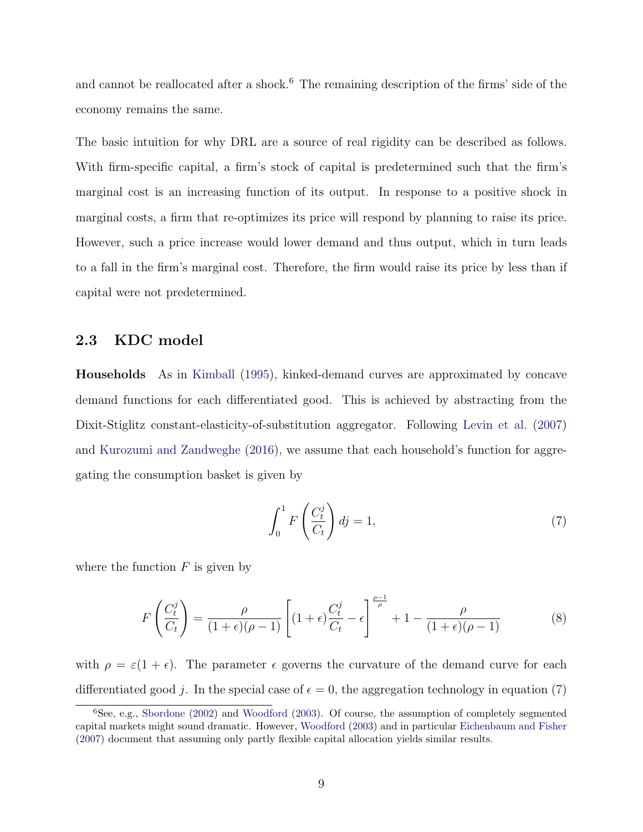and cannot be reallocated after a shock.<sup>6</sup> The remaining description of the firms' side of the economy remains the same.

The basic intuition for why DRL are a source of real rigidity can be described as follows. With firm-specific capital, a firm's stock of capital is predetermined such that the firm's marginal cost is an increasing function of its output. In response to a positive shock in marginal costs, a firm that re-optimizes its price will respond by planning to raise its price. However, such a price increase would lower demand and thus output, which in turn leads to a fall in the firm's marginal cost. Therefore, the firm would raise its price by less than if capital were not predetermined.

### **2.3 KDC model**

**Households** As in Kimball (1995), kinked-demand curves are approximated by concave demand functions for each differentiated good. This is achieved by abstracting from the Dixit-Stiglitz constant-elasticity-of-substitution aggregator. Following Levin et al. (2007) and Kurozumi and Zandweghe (2016), we assume that each household's function for aggregating the consumption basket is given by

$$
\int_0^1 F\left(\frac{C_t^j}{C_t}\right) dj = 1,\tag{7}
$$

where the function  $F$  is given by

$$
F\left(\frac{C_t^j}{C_t}\right) = \frac{\rho}{(1+\epsilon)(\rho-1)} \left[ (1+\epsilon)\frac{C_t^j}{C_t} - \epsilon \right]^{\frac{\rho-1}{\rho}} + 1 - \frac{\rho}{(1+\epsilon)(\rho-1)}\tag{8}
$$

with  $\rho = \varepsilon(1 + \epsilon)$ . The parameter  $\epsilon$  governs the curvature of the demand curve for each differentiated good *j*. In the special case of  $\epsilon = 0$ , the aggregation technology in equation (7)

 ${}^{6}$ See, e.g., Sbordone (2002) and Woodford (2003). Of course, the assumption of completely segmented capital markets might sound dramatic. However, Woodford (2003) and in particular Eichenbaum and Fisher (2007) document that assuming only partly flexible capital allocation yields similar results.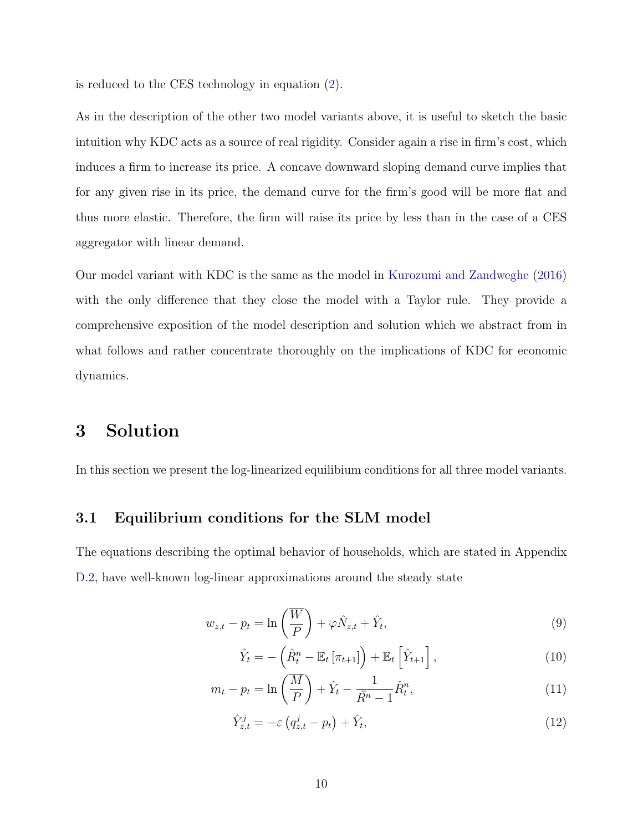is reduced to the CES technology in equation (2).

As in the description of the other two model variants above, it is useful to sketch the basic intuition why KDC acts as a source of real rigidity. Consider again a rise in firm's cost, which induces a firm to increase its price. A concave downward sloping demand curve implies that for any given rise in its price, the demand curve for the firm's good will be more flat and thus more elastic. Therefore, the firm will raise its price by less than in the case of a CES aggregator with linear demand.

Our model variant with KDC is the same as the model in Kurozumi and Zandweghe (2016) with the only difference that they close the model with a Taylor rule. They provide a comprehensive exposition of the model description and solution which we abstract from in what follows and rather concentrate thoroughly on the implications of KDC for economic dynamics.

# **3 Solution**

In this section we present the log-linearized equilibium conditions for all three model variants.

### **3.1 Equilibrium conditions for the SLM model**

The equations describing the optimal behavior of households, which are stated in Appendix D.2, have well-known log-linear approximations around the steady state

$$
w_{z,t} - p_t = \ln\left(\frac{\overline{W}}{P}\right) + \varphi \hat{N}_{z,t} + \hat{Y}_t, \tag{9}
$$

$$
\hat{Y}_t = -\left(\hat{R}_t^n - \mathbb{E}_t\left[\pi_{t+1}\right]\right) + \mathbb{E}_t\left[\hat{Y}_{t+1}\right],\tag{10}
$$

$$
m_t - p_t = \ln\left(\frac{\overline{M}}{P}\right) + \hat{Y}_t - \frac{1}{\overline{R}^n - 1}\hat{R}_t^n, \tag{11}
$$

$$
\hat{Y}_{z,t}^j = -\varepsilon \left( q_{z,t}^j - p_t \right) + \hat{Y}_t, \tag{12}
$$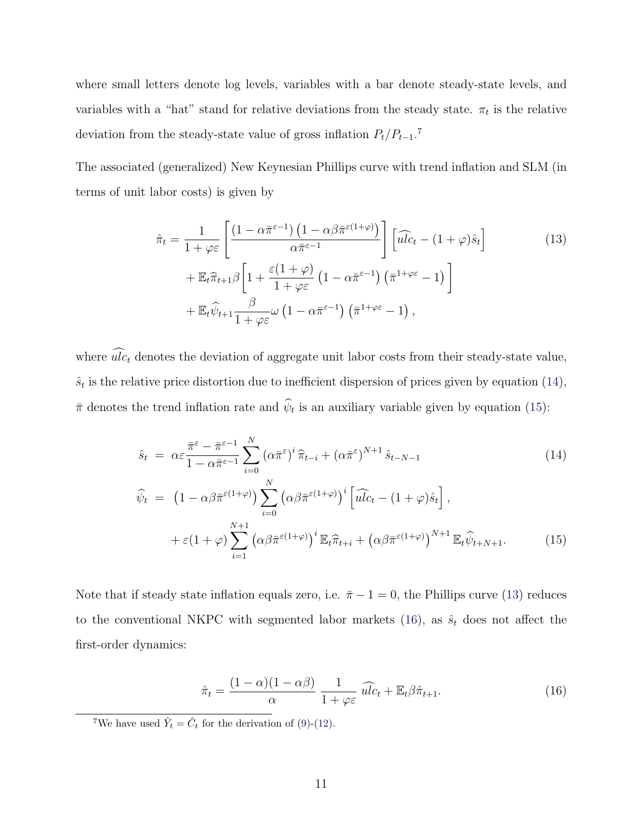where small letters denote log levels, variables with a bar denote steady-state levels, and variables with a "hat" stand for relative deviations from the steady state.  $\pi_t$  is the relative deviation from the steady-state value of gross inflation *Pt/Pt−*1. 7

The associated (generalized) New Keynesian Phillips curve with trend inflation and SLM (in terms of unit labor costs) is given by

$$
\hat{\pi}_t = \frac{1}{1 + \varphi \varepsilon} \left[ \frac{\left(1 - \alpha \bar{\pi}^{\varepsilon - 1}\right) \left(1 - \alpha \beta \bar{\pi}^{\varepsilon(1 + \varphi)}\right)}{\alpha \bar{\pi}^{\varepsilon - 1}} \right] \left[ \widehat{ulc}_t - (1 + \varphi)\hat{s}_t \right] \n+ \mathbb{E}_t \hat{\pi}_{t+1} \beta \left[ 1 + \frac{\varepsilon(1 + \varphi)}{1 + \varphi \varepsilon} \left(1 - \alpha \bar{\pi}^{\varepsilon - 1}\right) \left( \bar{\pi}^{1 + \varphi \varepsilon} - 1 \right) \right] \n+ \mathbb{E}_t \hat{\psi}_{t+1} \frac{\beta}{1 + \varphi \varepsilon} \omega \left(1 - \alpha \bar{\pi}^{\varepsilon - 1}\right) \left( \bar{\pi}^{1 + \varphi \varepsilon} - 1 \right),
$$
\n(13)

where  $\widehat{ulc}_t$  denotes the deviation of aggregate unit labor costs from their steady-state value,  $\hat{s}_t$  is the relative price distortion due to inefficient dispersion of prices given by equation (14),  $\bar{\pi}$  denotes the trend inflation rate and  $\hat{\psi}_t$  is an auxiliary variable given by equation (15):

$$
\hat{s}_t = \alpha \varepsilon \frac{\bar{\pi}^{\varepsilon} - \bar{\pi}^{\varepsilon - 1}}{1 - \alpha \bar{\pi}^{\varepsilon - 1}} \sum_{i=0}^N (\alpha \bar{\pi}^{\varepsilon})^i \hat{\pi}_{t-i} + (\alpha \bar{\pi}^{\varepsilon})^{N+1} \hat{s}_{t-N-1}
$$
\n
$$
\widehat{\psi}_t = (1 - \alpha \beta \bar{\pi}^{\varepsilon(1+\varphi)}) \sum_{i=0}^N (\alpha \beta \bar{\pi}^{\varepsilon(1+\varphi)})^i \left[ \widehat{ulc}_t - (1+\varphi)\hat{s}_t \right],
$$
\n(14)

+ 
$$
\varepsilon (1 + \varphi) \sum_{i=1}^{N+1} \left( \alpha \beta \bar{\pi}^{\varepsilon (1 + \varphi)} \right)^i \mathbb{E}_t \hat{\pi}_{t+i} + \left( \alpha \beta \bar{\pi}^{\varepsilon (1 + \varphi)} \right)^{N+1} \mathbb{E}_t \hat{\psi}_{t+N+1}.
$$
 (15)

Note that if steady state inflation equals zero, i.e.  $\bar{\pi} - 1 = 0$ , the Phillips curve (13) reduces to the conventional NKPC with segmented labor markets (16), as  $\hat{s}_t$  does not affect the first-order dynamics:

$$
\hat{\pi}_t = \frac{(1 - \alpha)(1 - \alpha\beta)}{\alpha} \frac{1}{1 + \varphi\varepsilon} \widehat{ulc}_t + \mathbb{E}_t\beta\hat{\pi}_{t+1}.
$$
\n(16)

<sup>7</sup>We have used  $\hat{Y}_t = \hat{C}_t$  for the derivation of (9)-(12).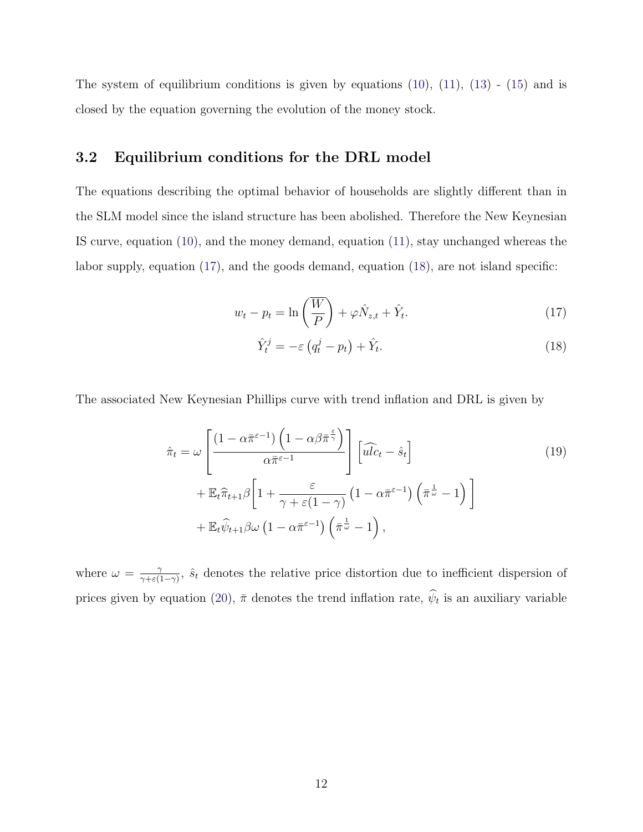The system of equilibrium conditions is given by equations  $(10)$ ,  $(11)$ ,  $(13)$  -  $(15)$  and is closed by the equation governing the evolution of the money stock.

### **3.2 Equilibrium conditions for the DRL model**

The equations describing the optimal behavior of households are slightly different than in the SLM model since the island structure has been abolished. Therefore the New Keynesian IS curve, equation (10), and the money demand, equation (11), stay unchanged whereas the labor supply, equation (17), and the goods demand, equation (18), are not island specific:

$$
w_t - p_t = \ln\left(\frac{\overline{W}}{P}\right) + \varphi \hat{N}_{z,t} + \hat{Y}_t.
$$
\n(17)

$$
\hat{Y}_t^j = -\varepsilon \left( q_t^j - p_t \right) + \hat{Y}_t. \tag{18}
$$

The associated New Keynesian Phillips curve with trend inflation and DRL is given by

$$
\hat{\pi}_t = \omega \left[ \frac{\left(1 - \alpha \bar{\pi}^{\varepsilon - 1}\right) \left(1 - \alpha \beta \bar{\pi}^{\frac{\varepsilon}{\gamma}}\right)}{\alpha \bar{\pi}^{\varepsilon - 1}} \right] \left[\widehat{ulc}_t - \hat{s}_t\right] \n+ \mathbb{E}_t \hat{\pi}_{t+1} \beta \left[1 + \frac{\varepsilon}{\gamma + \varepsilon(1 - \gamma)} \left(1 - \alpha \bar{\pi}^{\varepsilon - 1}\right) \left(\bar{\pi}^{\frac{1}{\omega}} - 1\right)\right] \n+ \mathbb{E}_t \hat{\psi}_{t+1} \beta \omega \left(1 - \alpha \bar{\pi}^{\varepsilon - 1}\right) \left(\bar{\pi}^{\frac{1}{\omega}} - 1\right),
$$
\n(19)

where  $\omega = \frac{\gamma}{\gamma + \varepsilon(1-\gamma)}$ ,  $\hat{s}_t$  denotes the relative price distortion due to inefficient dispersion of prices given by equation (20),  $\bar{\pi}$  denotes the trend inflation rate,  $\hat{\psi}_t$  is an auxiliary variable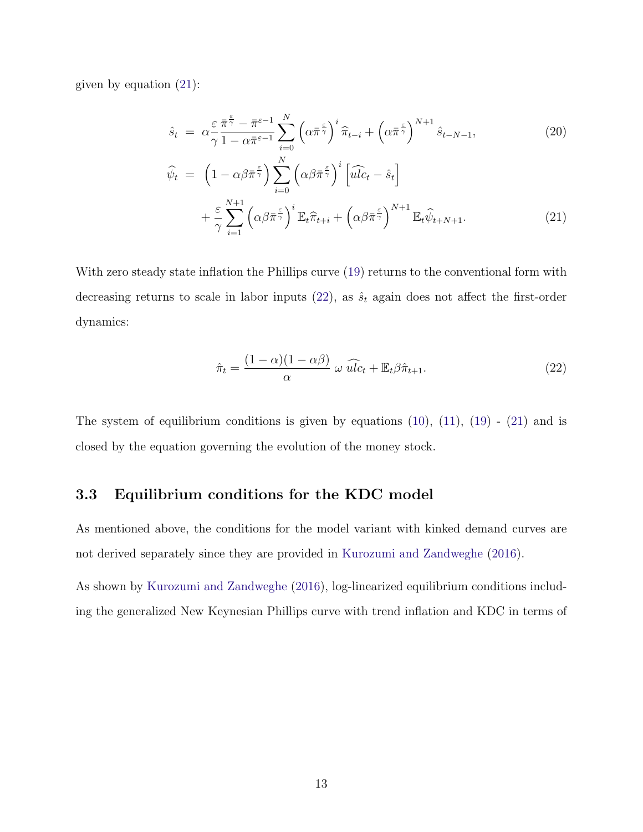given by equation (21):

$$
\hat{s}_t = \alpha \frac{\varepsilon \,\bar{\pi}^{\frac{\varepsilon}{\gamma}} - \bar{\pi}^{\varepsilon - 1}}{\gamma \, 1 - \alpha \bar{\pi}^{\varepsilon - 1}} \sum_{i=0}^N \left( \alpha \bar{\pi}^{\frac{\varepsilon}{\gamma}} \right)^i \widehat{\pi}_{t-i} + \left( \alpha \bar{\pi}^{\frac{\varepsilon}{\gamma}} \right)^{N+1} \hat{s}_{t-N-1},\tag{20}
$$

$$
\widehat{\psi}_t = \left(1 - \alpha \beta \bar{\pi} \frac{\epsilon}{\gamma}\right) \sum_{i=0}^N \left(\alpha \beta \bar{\pi} \frac{\epsilon}{\gamma}\right)^i \left[\widehat{ulc}_t - \hat{s}_t\right] \n+ \frac{\epsilon}{\gamma} \sum_{i=1}^{N+1} \left(\alpha \beta \bar{\pi} \frac{\epsilon}{\gamma}\right)^i \mathbb{E}_t \widehat{\pi}_{t+i} + \left(\alpha \beta \bar{\pi} \frac{\epsilon}{\gamma}\right)^{N+1} \mathbb{E}_t \widehat{\psi}_{t+N+1}.
$$
\n(21)

With zero steady state inflation the Phillips curve (19) returns to the conventional form with decreasing returns to scale in labor inputs  $(22)$ , as  $\hat{s}_t$  again does not affect the first-order dynamics:

$$
\hat{\pi}_t = \frac{(1 - \alpha)(1 - \alpha\beta)}{\alpha} \omega \widehat{ulc}_t + \mathbb{E}_t \beta \hat{\pi}_{t+1}.
$$
\n(22)

The system of equilibrium conditions is given by equations  $(10)$ ,  $(11)$ ,  $(19)$  -  $(21)$  and is closed by the equation governing the evolution of the money stock.

### **3.3 Equilibrium conditions for the KDC model**

As mentioned above, the conditions for the model variant with kinked demand curves are not derived separately since they are provided in Kurozumi and Zandweghe (2016).

As shown by Kurozumi and Zandweghe (2016), log-linearized equilibrium conditions including the generalized New Keynesian Phillips curve with trend inflation and KDC in terms of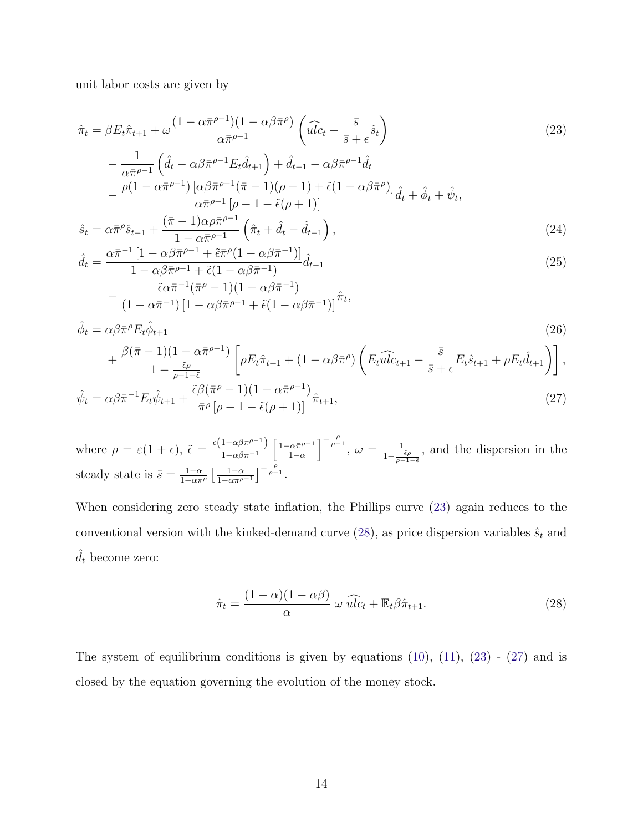unit labor costs are given by

$$
\hat{\pi}_t = \beta E_t \hat{\pi}_{t+1} + \omega \frac{(1 - \alpha \bar{\pi}^{\rho - 1})(1 - \alpha \beta \bar{\pi}^\rho)}{\alpha \bar{\pi}^{\rho - 1}} \left( \widehat{ulc}_t - \frac{\bar{s}}{\bar{s} + \epsilon} \hat{s}_t \right)
$$
\n
$$
\frac{1}{\hat{dlc}_t} \left( \hat{s}_t - \frac{\alpha \bar{s} - \alpha \bar{s}}{\alpha \bar{s}^{\rho - 1}} \hat{s}_t \right) \left( \frac{\bar{s}}{\bar{s}^{\rho - 1}} \hat{s}_t - \frac{\bar{s}}{\alpha \bar{s}^{\rho - 1}} \hat{s}_t \right)
$$
\n
$$
(23)
$$

$$
-\frac{1}{\alpha \bar{\pi}^{\rho-1}} \left( \hat{d}_t - \alpha \beta \bar{\pi}^{\rho-1} E_t \hat{d}_{t+1} \right) + \hat{d}_{t-1} - \alpha \beta \bar{\pi}^{\rho-1} \hat{d}_t -\frac{\rho (1 - \alpha \bar{\pi}^{\rho-1}) \left[ \alpha \beta \bar{\pi}^{\rho-1} (\bar{\pi} - 1) (\rho - 1) + \tilde{\epsilon} (1 - \alpha \beta \bar{\pi}^{\rho}) \right]}{\alpha \bar{\pi}^{\rho-1} [\rho - 1 - \tilde{\epsilon} (\rho + 1)]} \hat{d}_t + \hat{\phi}_t + \hat{\psi}_t,
$$
  

$$
-\frac{\alpha \bar{\pi}^{\rho} \hat{\epsilon}}{\sqrt{\bar{\pi}} - 1} \frac{(\bar{\pi} - 1) \alpha \rho \bar{\pi}^{\rho-1} (\hat{\pi} + \hat{d}) \hat{d}_t}{(\hat{\pi} + \hat{d}) \hat{d}_t} \right)
$$
(24)

$$
\hat{s}_t = \alpha \bar{\pi}^\rho \hat{s}_{t-1} + \frac{(\bar{\pi} - 1)\alpha \rho \bar{\pi}^{\rho - 1}}{1 - \alpha \bar{\pi}^{\rho - 1}} \left( \hat{\pi}_t + \hat{d}_t - \hat{d}_{t-1} \right),\tag{24}
$$

$$
\hat{d}_t = \frac{\alpha \bar{\pi}^{-1} \left[ 1 - \alpha \beta \bar{\pi}^{\rho - 1} + \tilde{\epsilon} \bar{\pi}^{\rho} (1 - \alpha \beta \bar{\pi}^{-1}) \right]}{1 - \alpha \beta \bar{\pi}^{\rho - 1} + \tilde{\epsilon} (1 - \alpha \beta \bar{\pi}^{-1})} \hat{d}_{t-1}
$$
\n
$$
\tilde{\epsilon} \alpha \bar{\pi}^{-1} (\bar{\pi}^{\rho} - 1)(1 - \alpha \beta \bar{\pi}^{-1})
$$
\n(25)

$$
-\frac{\tilde{\epsilon}\alpha\bar{\pi}^{-1}(\bar{\pi}^{\rho}-1)(1-\alpha\beta\bar{\pi}^{-1})}{(1-\alpha\bar{\pi}^{-1})\left[1-\alpha\beta\bar{\pi}^{\rho-1}+\tilde{\epsilon}(1-\alpha\beta\bar{\pi}^{-1})\right]}\hat{\pi}_t,
$$

$$
\hat{\phi}_t = \alpha \beta \bar{\pi}^\rho E_t \hat{\phi}_{t+1} \tag{26}
$$
\n
$$
+ \frac{\beta(\bar{\pi} - 1)(1 - \alpha \bar{\pi}^{\rho - 1})}{1 - \frac{\tilde{\epsilon}\rho}{\rho - 1 - \tilde{\epsilon}}} \left[ \rho E_t \hat{\pi}_{t+1} + (1 - \alpha \beta \bar{\pi}^\rho) \left( E_t \hat{u} \hat{l} c_{t+1} - \frac{\bar{s}}{\bar{s} + \epsilon} E_t \hat{s}_{t+1} + \rho E_t \hat{d}_{t+1} \right) \right],
$$
\n
$$
\hat{\phi}_t = \alpha \beta \bar{\pi}^{-1} E_t \hat{\phi}_t \quad \tilde{\epsilon}^{\beta} (\bar{\pi}^\rho - 1)(1 - \alpha \bar{\pi}^{\rho - 1})_{\hat{\sigma}} \tag{27}
$$

$$
\hat{\psi}_t = \alpha \beta \bar{\pi}^{-1} E_t \hat{\psi}_{t+1} + \frac{\tilde{\epsilon} \beta (\bar{\pi}^{\rho} - 1)(1 - \alpha \bar{\pi}^{\rho - 1})}{\bar{\pi}^{\rho} [\rho - 1 - \tilde{\epsilon}(\rho + 1)]} \hat{\pi}_{t+1},
$$
\n(27)

where  $\rho = \varepsilon (1 + \epsilon), \ \tilde{\epsilon} = \frac{\epsilon (1 - \alpha \beta \bar{\pi}^{\rho - 1})}{1 - \alpha \beta \bar{\pi}^{-1}}$  $\int 1 - \alpha \bar{\pi}^{\rho-1}$ 1*−α*  $\int_{0}^{-\frac{\rho}{\rho-1}}$ ,  $\omega = \frac{1}{1-\frac{\tilde{\epsilon}\rho}{\rho-1-\tilde{\epsilon}}}$ , and the dispersion in the steady state is  $\bar{s} = \frac{1-\alpha}{1-\alpha\bar{\pi}^{\rho}}$  <sup>1</sup>*−<sup>α</sup>*  $\frac{1-\alpha\bar{\pi}^{\rho-1}}{1-\alpha\bar{\pi}^{\rho-1}}$  $\left[ -\frac{\rho}{\rho - 1} \right]$ 

When considering zero steady state inflation, the Phillips curve (23) again reduces to the conventional version with the kinked-demand curve  $(28)$ , as price dispersion variables  $\hat{s}_t$  and  $\hat{d}_t$  become zero:

$$
\hat{\pi}_t = \frac{(1 - \alpha)(1 - \alpha\beta)}{\alpha} \omega \widehat{ulc}_t + \mathbb{E}_t \beta \hat{\pi}_{t+1}.
$$
\n(28)

The system of equilibrium conditions is given by equations  $(10)$ ,  $(11)$ ,  $(23)$  -  $(27)$  and is closed by the equation governing the evolution of the money stock.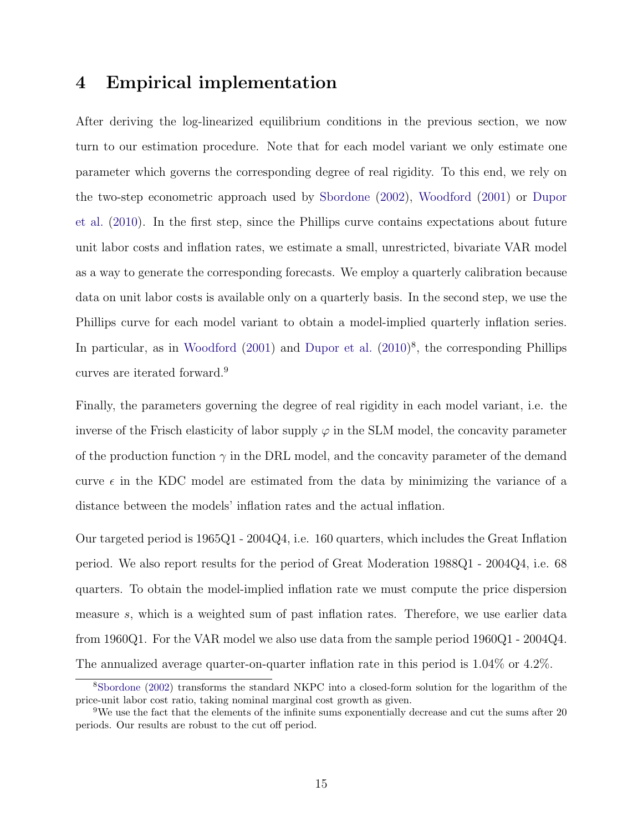# **4 Empirical implementation**

After deriving the log-linearized equilibrium conditions in the previous section, we now turn to our estimation procedure. Note that for each model variant we only estimate one parameter which governs the corresponding degree of real rigidity. To this end, we rely on the two-step econometric approach used by Sbordone (2002), Woodford (2001) or Dupor et al. (2010). In the first step, since the Phillips curve contains expectations about future unit labor costs and inflation rates, we estimate a small, unrestricted, bivariate VAR model as a way to generate the corresponding forecasts. We employ a quarterly calibration because data on unit labor costs is available only on a quarterly basis. In the second step, we use the Phillips curve for each model variant to obtain a model-implied quarterly inflation series. In particular, as in Woodford  $(2001)$  and Dupor et al.  $(2010)^8$ , the corresponding Phillips curves are iterated forward.<sup>9</sup>

Finally, the parameters governing the degree of real rigidity in each model variant, i.e. the inverse of the Frisch elasticity of labor supply  $\varphi$  in the SLM model, the concavity parameter of the production function  $\gamma$  in the DRL model, and the concavity parameter of the demand curve  $\epsilon$  in the KDC model are estimated from the data by minimizing the variance of a distance between the models' inflation rates and the actual inflation.

Our targeted period is 1965Q1 - 2004Q4, i.e. 160 quarters, which includes the Great Inflation period. We also report results for the period of Great Moderation 1988Q1 - 2004Q4, i.e. 68 quarters. To obtain the model-implied inflation rate we must compute the price dispersion measure *s*, which is a weighted sum of past inflation rates. Therefore, we use earlier data from 1960Q1. For the VAR model we also use data from the sample period 1960Q1 - 2004Q4. The annualized average quarter-on-quarter inflation rate in this period is 1.04% or 4.2%.

<sup>8</sup>Sbordone (2002) transforms the standard NKPC into a closed-form solution for the logarithm of the price-unit labor cost ratio, taking nominal marginal cost growth as given.

<sup>9</sup>We use the fact that the elements of the infinite sums exponentially decrease and cut the sums after 20 periods. Our results are robust to the cut off period.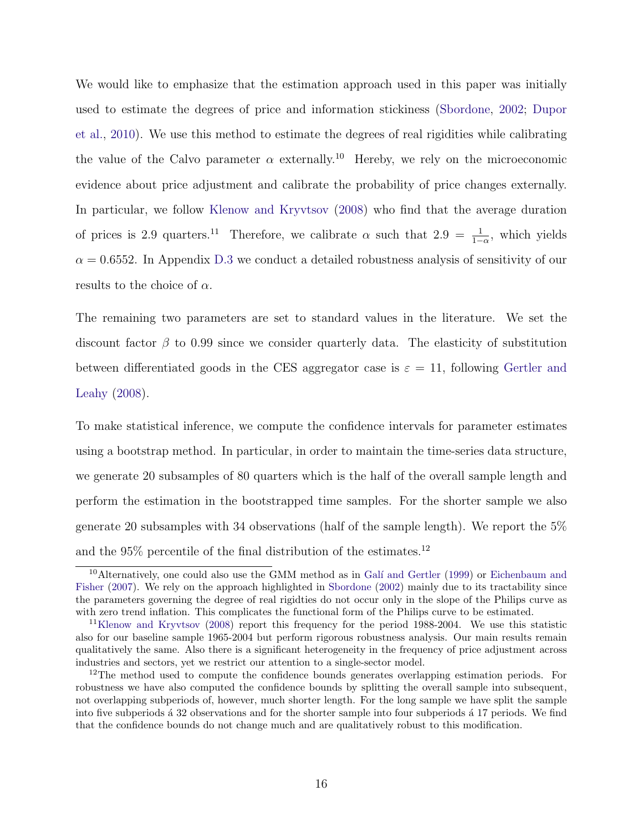We would like to emphasize that the estimation approach used in this paper was initially used to estimate the degrees of price and information stickiness (Sbordone, 2002; Dupor et al., 2010). We use this method to estimate the degrees of real rigidities while calibrating the value of the Calvo parameter  $\alpha$  externally.<sup>10</sup> Hereby, we rely on the microeconomic evidence about price adjustment and calibrate the probability of price changes externally. In particular, we follow Klenow and Kryvtsov (2008) who find that the average duration of prices is 2.9 quarters.<sup>11</sup> Therefore, we calibrate  $\alpha$  such that  $2.9 = \frac{1}{1-\alpha}$ , which yields  $\alpha = 0.6552$ . In Appendix D.3 we conduct a detailed robustness analysis of sensitivity of our results to the choice of *α*.

The remaining two parameters are set to standard values in the literature. We set the discount factor  $\beta$  to 0.99 since we consider quarterly data. The elasticity of substitution between differentiated goods in the CES aggregator case is  $\varepsilon = 11$ , following Gertler and Leahy (2008).

To make statistical inference, we compute the confidence intervals for parameter estimates using a bootstrap method. In particular, in order to maintain the time-series data structure, we generate 20 subsamples of 80 quarters which is the half of the overall sample length and perform the estimation in the bootstrapped time samples. For the shorter sample we also generate 20 subsamples with 34 observations (half of the sample length). We report the 5% and the  $95\%$  percentile of the final distribution of the estimates.<sup>12</sup>

<sup>&</sup>lt;sup>10</sup>Alternatively, one could also use the GMM method as in Galí and Gertler (1999) or Eichenbaum and Fisher (2007). We rely on the approach highlighted in Sbordone (2002) mainly due to its tractability since the parameters governing the degree of real rigidties do not occur only in the slope of the Philips curve as with zero trend inflation. This complicates the functional form of the Philips curve to be estimated.

<sup>11</sup>Klenow and Kryvtsov (2008) report this frequency for the period 1988-2004. We use this statistic also for our baseline sample 1965-2004 but perform rigorous robustness analysis. Our main results remain qualitatively the same. Also there is a significant heterogeneity in the frequency of price adjustment across industries and sectors, yet we restrict our attention to a single-sector model.

<sup>&</sup>lt;sup>12</sup>The method used to compute the confidence bounds generates overlapping estimation periods. For robustness we have also computed the confidence bounds by splitting the overall sample into subsequent, not overlapping subperiods of, however, much shorter length. For the long sample we have split the sample into five subperiods a 32 observations and for the shorter sample into four subperiods a 17 periods. We find that the confidence bounds do not change much and are qualitatively robust to this modification.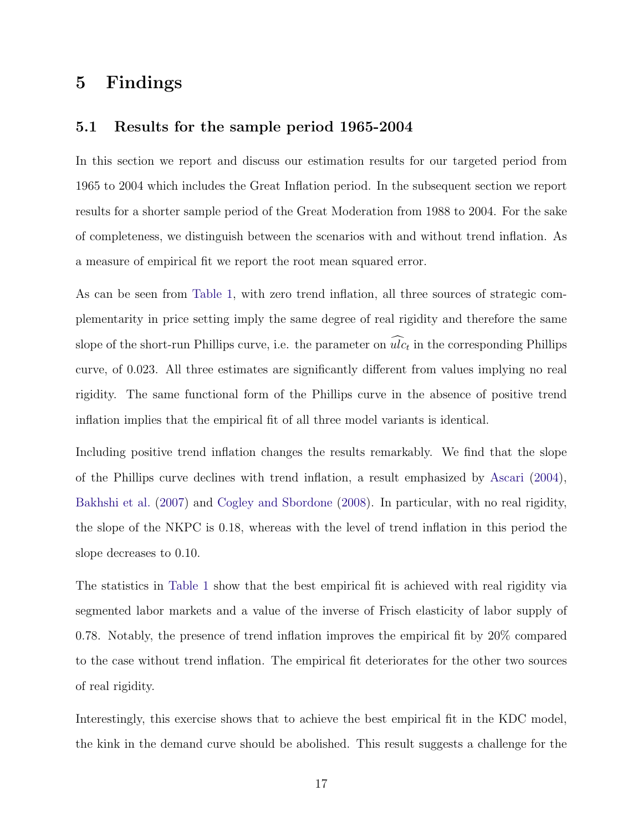# **5 Findings**

### **5.1 Results for the sample period 1965-2004**

In this section we report and discuss our estimation results for our targeted period from 1965 to 2004 which includes the Great Inflation period. In the subsequent section we report results for a shorter sample period of the Great Moderation from 1988 to 2004. For the sake of completeness, we distinguish between the scenarios with and without trend inflation. As a measure of empirical fit we report the root mean squared error.

As can be seen from Table 1, with zero trend inflation, all three sources of strategic complementarity in price setting imply the same degree of real rigidity and therefore the same slope of the short-run Phillips curve, i.e. the parameter on  $\widehat{ulc}_t$  in the corresponding Phillips curve, of 0.023. All three estimates are significantly different from values implying no real rigidity. The same functional form of the Phillips curve in the absence of positive trend inflation implies that the empirical fit of all three model variants is identical.

Including positive trend inflation changes the results remarkably. We find that the slope of the Phillips curve declines with trend inflation, a result emphasized by Ascari (2004), Bakhshi et al. (2007) and Cogley and Sbordone (2008). In particular, with no real rigidity, the slope of the NKPC is 0.18, whereas with the level of trend inflation in this period the slope decreases to 0.10.

The statistics in Table 1 show that the best empirical fit is achieved with real rigidity via segmented labor markets and a value of the inverse of Frisch elasticity of labor supply of 0.78. Notably, the presence of trend inflation improves the empirical fit by 20% compared to the case without trend inflation. The empirical fit deteriorates for the other two sources of real rigidity.

Interestingly, this exercise shows that to achieve the best empirical fit in the KDC model, the kink in the demand curve should be abolished. This result suggests a challenge for the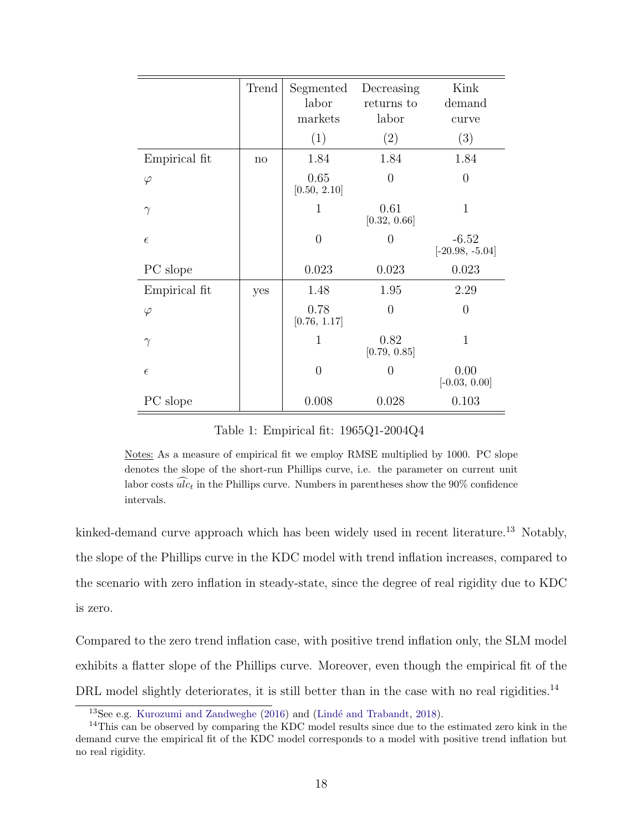|               | Trend | Segmented<br>labor<br>markets | Decreasing<br>returns to<br>labor | Kink<br>demand<br>curve      |
|---------------|-------|-------------------------------|-----------------------------------|------------------------------|
|               |       | (1)                           | (2)                               | (3)                          |
| Empirical fit | no    | 1.84                          | 1.84                              | 1.84                         |
| $\varphi$     |       | 0.65<br>[0.50, 2.10]          | 0                                 | $\overline{0}$               |
| $\gamma$      |       | $\mathbf{1}$                  | 0.61<br>[0.32, 0.66]              | $\mathbf{1}$                 |
| $\epsilon$    |       | $\overline{0}$                | 0                                 | $-6.52$<br>$[-20.98, -5.04]$ |
| PC slope      |       | 0.023                         | 0.023                             | 0.023                        |
| Empirical fit | yes   | 1.48                          | 1.95                              | 2.29                         |
| $\varphi$     |       | 0.78<br>[0.76, 1.17]          | $\overline{0}$                    | $\overline{0}$               |
| $\gamma$      |       | $\mathbf{1}$                  | 0.82<br>[0.79, 0.85]              | $\mathbf{1}$                 |
| $\epsilon$    |       | $\overline{0}$                | $\overline{0}$                    | 0.00<br>$[-0.03, 0.00]$      |
| PC slope      |       | 0.008                         | 0.028                             | 0.103                        |

Table 1: Empirical fit: 1965Q1-2004Q4

Notes: As a measure of empirical fit we employ RMSE multiplied by 1000. PC slope denotes the slope of the short-run Phillips curve, i.e. the parameter on current unit labor costs  $\widehat{ulc}_t$  in the Phillips curve. Numbers in parentheses show the 90% confidence intervals.

kinked-demand curve approach which has been widely used in recent literature.<sup>13</sup> Notably, the slope of the Phillips curve in the KDC model with trend inflation increases, compared to the scenario with zero inflation in steady-state, since the degree of real rigidity due to KDC is zero.

Compared to the zero trend inflation case, with positive trend inflation only, the SLM model exhibits a flatter slope of the Phillips curve. Moreover, even though the empirical fit of the DRL model slightly deteriorates, it is still better than in the case with no real rigidities.<sup>14</sup>

 $13$ See e.g. Kurozumi and Zandweghe (2016) and (Lindé and Trabandt, 2018).

<sup>&</sup>lt;sup>14</sup>This can be observed by comparing the KDC model results since due to the estimated zero kink in the demand curve the empirical fit of the KDC model corresponds to a model with positive trend inflation but no real rigidity.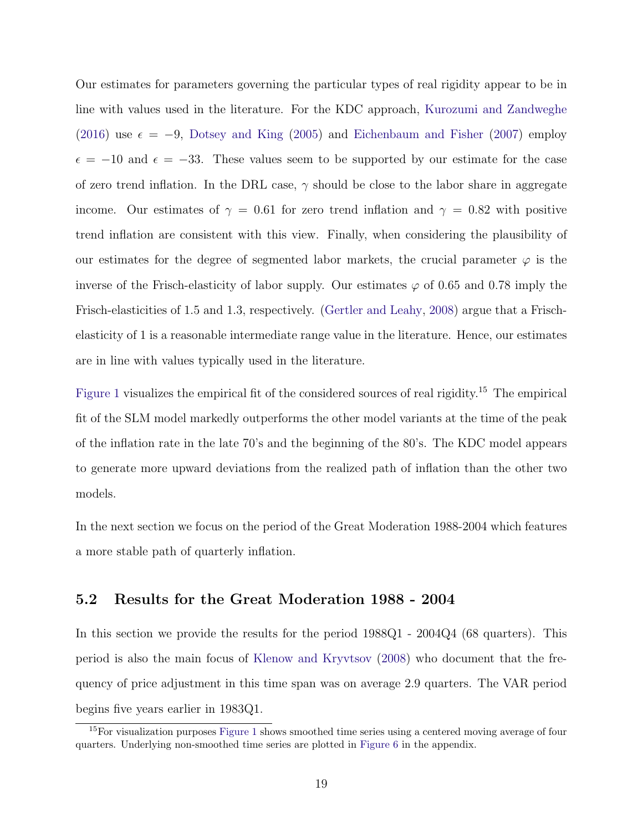Our estimates for parameters governing the particular types of real rigidity appear to be in line with values used in the literature. For the KDC approach, Kurozumi and Zandweghe (2016) use  $\epsilon = -9$ , Dotsey and King (2005) and Eichenbaum and Fisher (2007) employ  $\epsilon = -10$  and  $\epsilon = -33$ . These values seem to be supported by our estimate for the case of zero trend inflation. In the DRL case, *γ* should be close to the labor share in aggregate income. Our estimates of  $\gamma = 0.61$  for zero trend inflation and  $\gamma = 0.82$  with positive trend inflation are consistent with this view. Finally, when considering the plausibility of our estimates for the degree of segmented labor markets, the crucial parameter  $\varphi$  is the inverse of the Frisch-elasticity of labor supply. Our estimates  $\varphi$  of 0.65 and 0.78 imply the Frisch-elasticities of 1.5 and 1.3, respectively. (Gertler and Leahy, 2008) argue that a Frischelasticity of 1 is a reasonable intermediate range value in the literature. Hence, our estimates are in line with values typically used in the literature.

Figure 1 visualizes the empirical fit of the considered sources of real rigidity.<sup>15</sup> The empirical fit of the SLM model markedly outperforms the other model variants at the time of the peak of the inflation rate in the late 70's and the beginning of the 80's. The KDC model appears to generate more upward deviations from the realized path of inflation than the other two models.

In the next section we focus on the period of the Great Moderation 1988-2004 which features a more stable path of quarterly inflation.

### **5.2 Results for the Great Moderation 1988 - 2004**

In this section we provide the results for the period 1988Q1 - 2004Q4 (68 quarters). This period is also the main focus of Klenow and Kryvtsov (2008) who document that the frequency of price adjustment in this time span was on average 2.9 quarters. The VAR period begins five years earlier in 1983Q1.

 $15$ For visualization purposes Figure 1 shows smoothed time series using a centered moving average of four quarters. Underlying non-smoothed time series are plotted in Figure 6 in the appendix.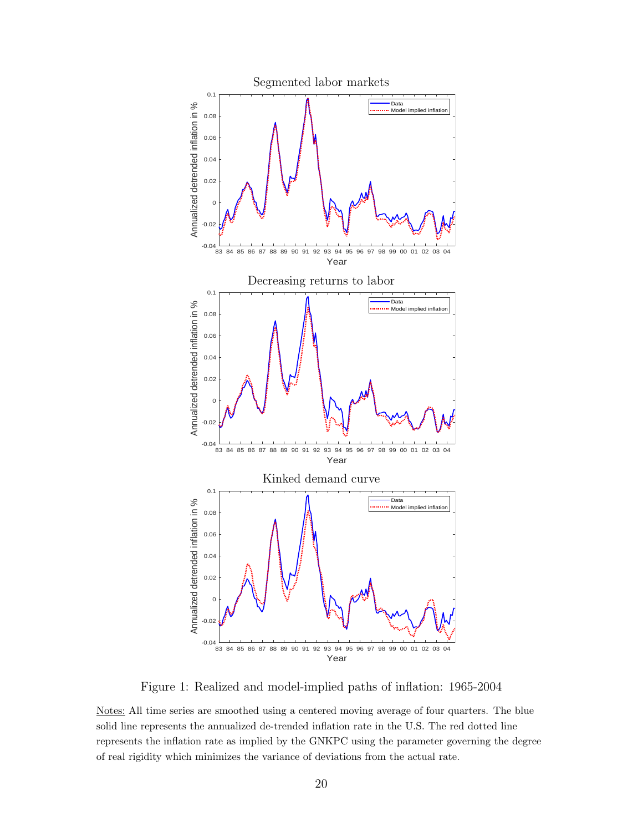

Figure 1: Realized and model-implied paths of inflation: 1965-2004

Notes: All time series are smoothed using a centered moving average of four quarters. The blue solid line represents the annualized de-trended inflation rate in the U.S. The red dotted line represents the inflation rate as implied by the GNKPC using the parameter governing the degree of real rigidity which minimizes the variance of deviations from the actual rate.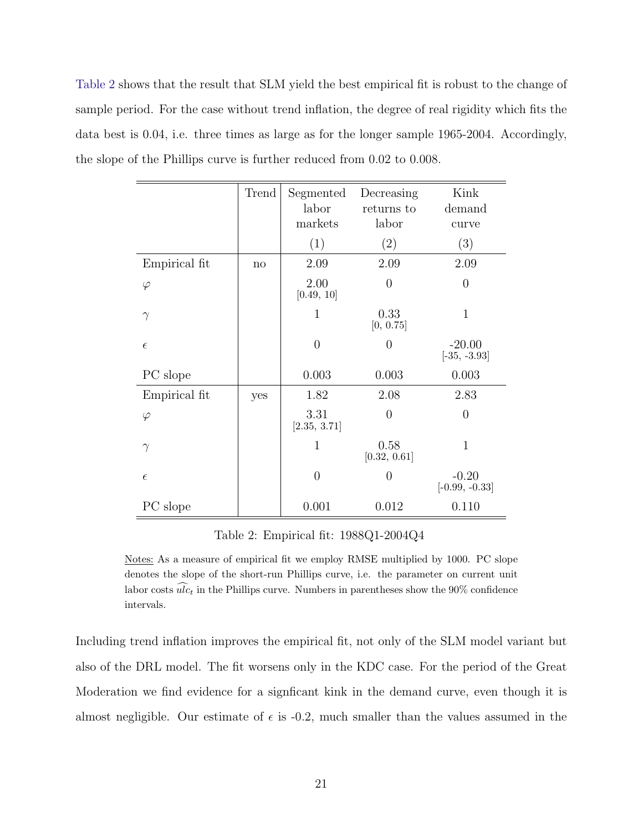Table 2 shows that the result that SLM yield the best empirical fit is robust to the change of sample period. For the case without trend inflation, the degree of real rigidity which fits the data best is 0.04, i.e. three times as large as for the longer sample 1965-2004. Accordingly, the slope of the Phillips curve is further reduced from 0.02 to 0.008.

|               | Trend | Segmented<br>labor<br>markets | Decreasing<br>returns to<br>labor | Kink<br>demand<br>curve     |
|---------------|-------|-------------------------------|-----------------------------------|-----------------------------|
|               |       | (1)                           | (2)                               | (3)                         |
| Empirical fit | no    | 2.09                          | 2.09                              | 2.09                        |
| $\varphi$     |       | 2.00<br>[0.49, 10]            | $\Omega$                          | $\theta$                    |
| $\gamma$      |       | $\mathbf{1}$                  | 0.33<br>[0, 0.75]                 | $\mathbf{1}$                |
| $\epsilon$    |       | $\overline{0}$                | $\theta$                          | $-20.00$<br>$[-35, -3.93]$  |
| PC slope      |       | 0.003                         | 0.003                             | 0.003                       |
| Empirical fit | yes   | 1.82                          | 2.08                              | 2.83                        |
| $\varphi$     |       | 3.31<br>[2.35, 3.71]          | $\Omega$                          | $\overline{0}$              |
| $\gamma$      |       | $\mathbf{1}$                  | 0.58<br>[0.32, 0.61]              | $\mathbf{1}$                |
| $\epsilon$    |       | $\overline{0}$                | $\theta$                          | $-0.20$<br>$[-0.99, -0.33]$ |
| PC slope      |       | 0.001                         | 0.012                             | 0.110                       |

Table 2: Empirical fit: 1988Q1-2004Q4

Notes: As a measure of empirical fit we employ RMSE multiplied by 1000. PC slope denotes the slope of the short-run Phillips curve, i.e. the parameter on current unit labor costs  $\widehat{ulc}_t$  in the Phillips curve. Numbers in parentheses show the 90% confidence intervals.

Including trend inflation improves the empirical fit, not only of the SLM model variant but also of the DRL model. The fit worsens only in the KDC case. For the period of the Great Moderation we find evidence for a signficant kink in the demand curve, even though it is almost negligible. Our estimate of  $\epsilon$  is -0.2, much smaller than the values assumed in the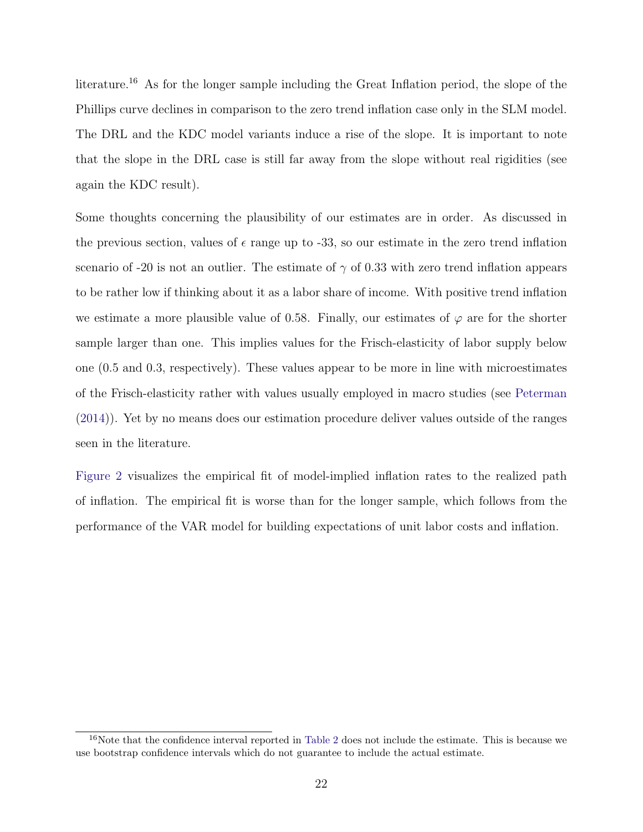literature.<sup>16</sup> As for the longer sample including the Great Inflation period, the slope of the Phillips curve declines in comparison to the zero trend inflation case only in the SLM model. The DRL and the KDC model variants induce a rise of the slope. It is important to note that the slope in the DRL case is still far away from the slope without real rigidities (see again the KDC result).

Some thoughts concerning the plausibility of our estimates are in order. As discussed in the previous section, values of  $\epsilon$  range up to -33, so our estimate in the zero trend inflation scenario of -20 is not an outlier. The estimate of  $\gamma$  of 0.33 with zero trend inflation appears to be rather low if thinking about it as a labor share of income. With positive trend inflation we estimate a more plausible value of 0.58. Finally, our estimates of  $\varphi$  are for the shorter sample larger than one. This implies values for the Frisch-elasticity of labor supply below one (0.5 and 0.3, respectively). These values appear to be more in line with microestimates of the Frisch-elasticity rather with values usually employed in macro studies (see Peterman (2014)). Yet by no means does our estimation procedure deliver values outside of the ranges seen in the literature.

Figure 2 visualizes the empirical fit of model-implied inflation rates to the realized path of inflation. The empirical fit is worse than for the longer sample, which follows from the performance of the VAR model for building expectations of unit labor costs and inflation.

 $16$ Note that the confidence interval reported in Table 2 does not include the estimate. This is because we use bootstrap confidence intervals which do not guarantee to include the actual estimate.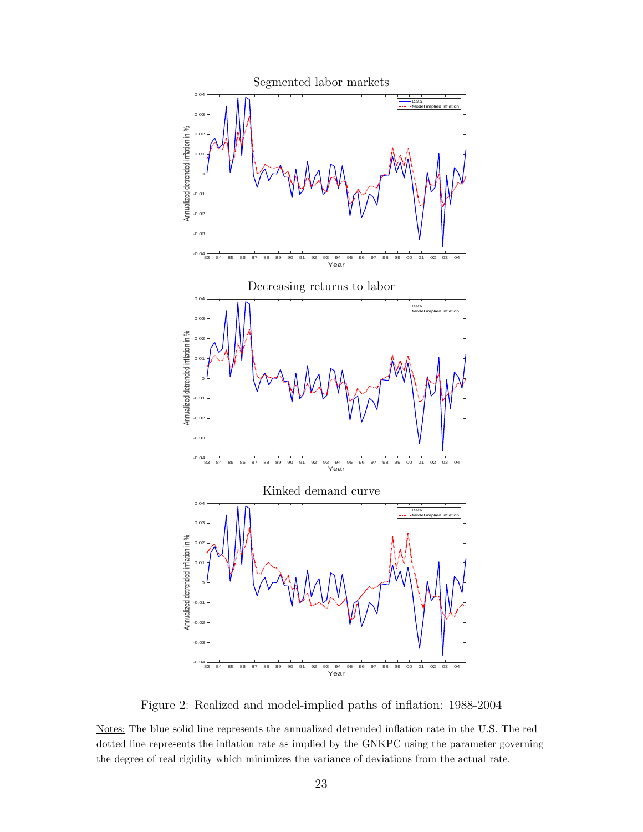

Figure 2: Realized and model-implied paths of inflation: 1988-2004

Notes: The blue solid line represents the annualized detrended inflation rate in the U.S. The red dotted line represents the inflation rate as implied by the GNKPC using the parameter governing the degree of real rigidity which minimizes the variance of deviations from the actual rate.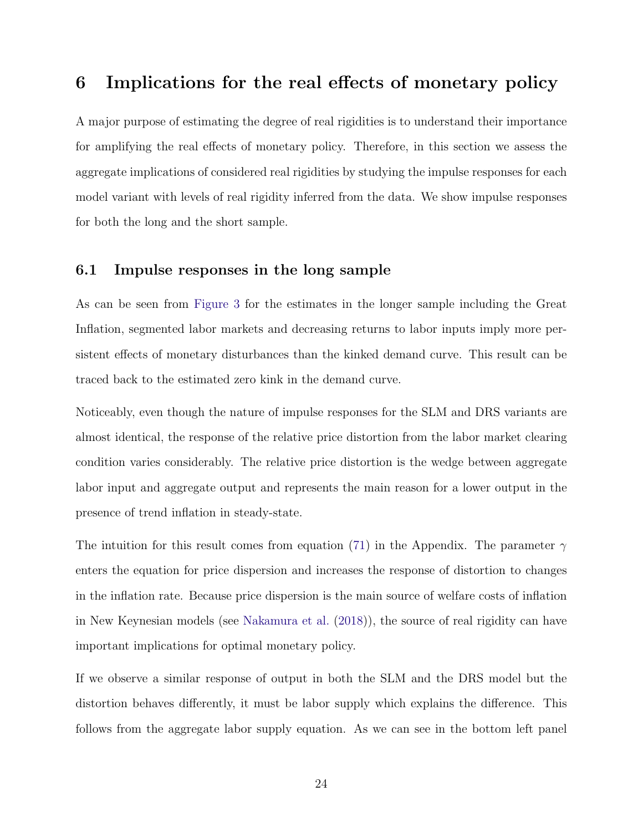# **6 Implications for the real effects of monetary policy**

A major purpose of estimating the degree of real rigidities is to understand their importance for amplifying the real effects of monetary policy. Therefore, in this section we assess the aggregate implications of considered real rigidities by studying the impulse responses for each model variant with levels of real rigidity inferred from the data. We show impulse responses for both the long and the short sample.

### **6.1 Impulse responses in the long sample**

As can be seen from Figure 3 for the estimates in the longer sample including the Great Inflation, segmented labor markets and decreasing returns to labor inputs imply more persistent effects of monetary disturbances than the kinked demand curve. This result can be traced back to the estimated zero kink in the demand curve.

Noticeably, even though the nature of impulse responses for the SLM and DRS variants are almost identical, the response of the relative price distortion from the labor market clearing condition varies considerably. The relative price distortion is the wedge between aggregate labor input and aggregate output and represents the main reason for a lower output in the presence of trend inflation in steady-state.

The intuition for this result comes from equation (71) in the Appendix. The parameter *γ* enters the equation for price dispersion and increases the response of distortion to changes in the inflation rate. Because price dispersion is the main source of welfare costs of inflation in New Keynesian models (see Nakamura et al. (2018)), the source of real rigidity can have important implications for optimal monetary policy.

If we observe a similar response of output in both the SLM and the DRS model but the distortion behaves differently, it must be labor supply which explains the difference. This follows from the aggregate labor supply equation. As we can see in the bottom left panel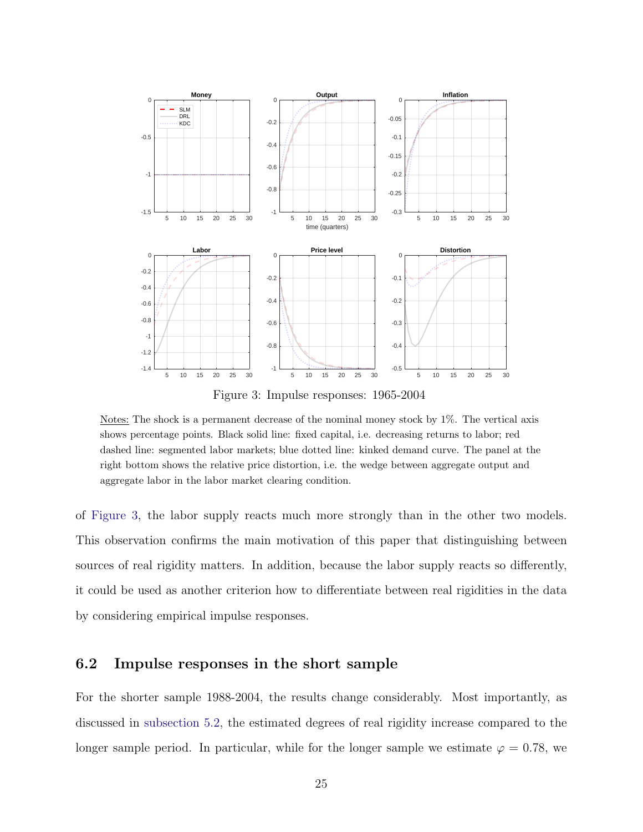

Figure 3: Impulse responses: 1965-2004

Notes: The shock is a permanent decrease of the nominal money stock by 1%. The vertical axis shows percentage points. Black solid line: fixed capital, i.e. decreasing returns to labor; red dashed line: segmented labor markets; blue dotted line: kinked demand curve. The panel at the right bottom shows the relative price distortion, i.e. the wedge between aggregate output and aggregate labor in the labor market clearing condition.

of Figure 3, the labor supply reacts much more strongly than in the other two models. This observation confirms the main motivation of this paper that distinguishing between sources of real rigidity matters. In addition, because the labor supply reacts so differently, it could be used as another criterion how to differentiate between real rigidities in the data by considering empirical impulse responses.

### **6.2 Impulse responses in the short sample**

For the shorter sample 1988-2004, the results change considerably. Most importantly, as discussed in subsection 5.2, the estimated degrees of real rigidity increase compared to the longer sample period. In particular, while for the longer sample we estimate  $\varphi = 0.78$ , we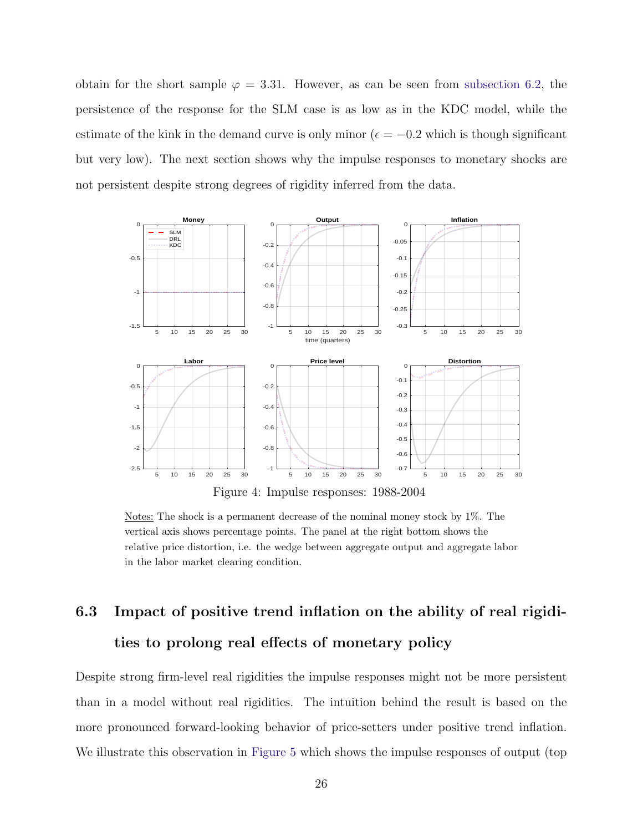obtain for the short sample  $\varphi = 3.31$ . However, as can be seen from subsection 6.2, the persistence of the response for the SLM case is as low as in the KDC model, while the estimate of the kink in the demand curve is only minor ( $\epsilon = -0.2$  which is though significant but very low). The next section shows why the impulse responses to monetary shocks are not persistent despite strong degrees of rigidity inferred from the data.



Notes: The shock is a permanent decrease of the nominal money stock by 1%. The vertical axis shows percentage points. The panel at the right bottom shows the relative price distortion, i.e. the wedge between aggregate output and aggregate labor in the labor market clearing condition.

# **6.3 Impact of positive trend inflation on the ability of real rigidities to prolong real effects of monetary policy**

Despite strong firm-level real rigidities the impulse responses might not be more persistent than in a model without real rigidities. The intuition behind the result is based on the more pronounced forward-looking behavior of price-setters under positive trend inflation. We illustrate this observation in Figure 5 which shows the impulse responses of output (top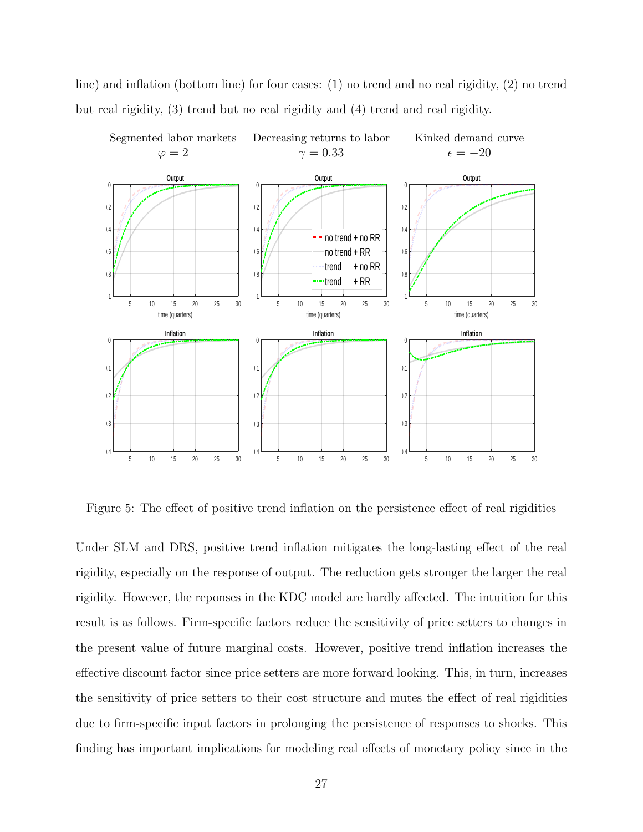line) and inflation (bottom line) for four cases: (1) no trend and no real rigidity, (2) no trend but real rigidity, (3) trend but no real rigidity and (4) trend and real rigidity.



Figure 5: The effect of positive trend inflation on the persistence effect of real rigidities

Under SLM and DRS, positive trend inflation mitigates the long-lasting effect of the real rigidity, especially on the response of output. The reduction gets stronger the larger the real rigidity. However, the reponses in the KDC model are hardly affected. The intuition for this result is as follows. Firm-specific factors reduce the sensitivity of price setters to changes in the present value of future marginal costs. However, positive trend inflation increases the effective discount factor since price setters are more forward looking. This, in turn, increases the sensitivity of price setters to their cost structure and mutes the effect of real rigidities due to firm-specific input factors in prolonging the persistence of responses to shocks. This finding has important implications for modeling real effects of monetary policy since in the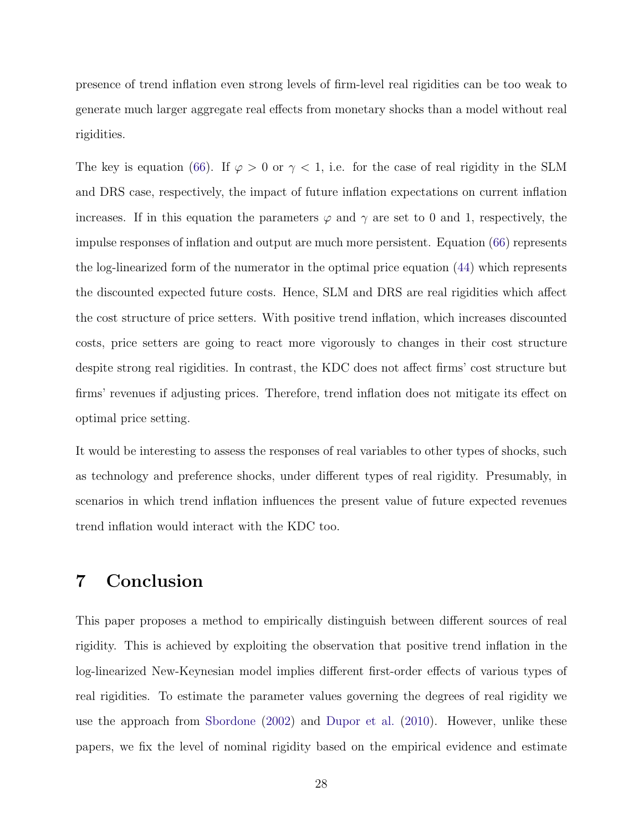presence of trend inflation even strong levels of firm-level real rigidities can be too weak to generate much larger aggregate real effects from monetary shocks than a model without real rigidities.

The key is equation (66). If  $\varphi > 0$  or  $\gamma < 1$ , i.e. for the case of real rigidity in the SLM and DRS case, respectively, the impact of future inflation expectations on current inflation increases. If in this equation the parameters  $\varphi$  and  $\gamma$  are set to 0 and 1, respectively, the impulse responses of inflation and output are much more persistent. Equation (66) represents the log-linearized form of the numerator in the optimal price equation (44) which represents the discounted expected future costs. Hence, SLM and DRS are real rigidities which affect the cost structure of price setters. With positive trend inflation, which increases discounted costs, price setters are going to react more vigorously to changes in their cost structure despite strong real rigidities. In contrast, the KDC does not affect firms' cost structure but firms' revenues if adjusting prices. Therefore, trend inflation does not mitigate its effect on optimal price setting.

It would be interesting to assess the responses of real variables to other types of shocks, such as technology and preference shocks, under different types of real rigidity. Presumably, in scenarios in which trend inflation influences the present value of future expected revenues trend inflation would interact with the KDC too.

# **7 Conclusion**

This paper proposes a method to empirically distinguish between different sources of real rigidity. This is achieved by exploiting the observation that positive trend inflation in the log-linearized New-Keynesian model implies different first-order effects of various types of real rigidities. To estimate the parameter values governing the degrees of real rigidity we use the approach from Sbordone (2002) and Dupor et al. (2010). However, unlike these papers, we fix the level of nominal rigidity based on the empirical evidence and estimate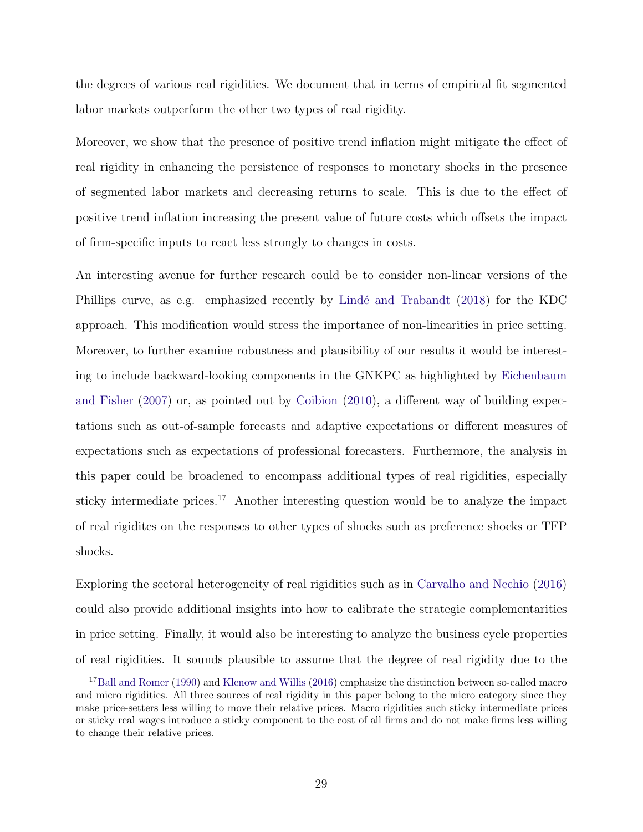the degrees of various real rigidities. We document that in terms of empirical fit segmented labor markets outperform the other two types of real rigidity.

Moreover, we show that the presence of positive trend inflation might mitigate the effect of real rigidity in enhancing the persistence of responses to monetary shocks in the presence of segmented labor markets and decreasing returns to scale. This is due to the effect of positive trend inflation increasing the present value of future costs which offsets the impact of firm-specific inputs to react less strongly to changes in costs.

An interesting avenue for further research could be to consider non-linear versions of the Phillips curve, as e.g. emphasized recently by Lindé and Trabandt (2018) for the KDC approach. This modification would stress the importance of non-linearities in price setting. Moreover, to further examine robustness and plausibility of our results it would be interesting to include backward-looking components in the GNKPC as highlighted by Eichenbaum and Fisher (2007) or, as pointed out by Coibion (2010), a different way of building expectations such as out-of-sample forecasts and adaptive expectations or different measures of expectations such as expectations of professional forecasters. Furthermore, the analysis in this paper could be broadened to encompass additional types of real rigidities, especially sticky intermediate prices.<sup>17</sup> Another interesting question would be to analyze the impact of real rigidites on the responses to other types of shocks such as preference shocks or TFP shocks.

Exploring the sectoral heterogeneity of real rigidities such as in Carvalho and Nechio (2016) could also provide additional insights into how to calibrate the strategic complementarities in price setting. Finally, it would also be interesting to analyze the business cycle properties of real rigidities. It sounds plausible to assume that the degree of real rigidity due to the

<sup>&</sup>lt;sup>17</sup>Ball and Romer (1990) and Klenow and Willis (2016) emphasize the distinction between so-called macro and micro rigidities. All three sources of real rigidity in this paper belong to the micro category since they make price-setters less willing to move their relative prices. Macro rigidities such sticky intermediate prices or sticky real wages introduce a sticky component to the cost of all firms and do not make firms less willing to change their relative prices.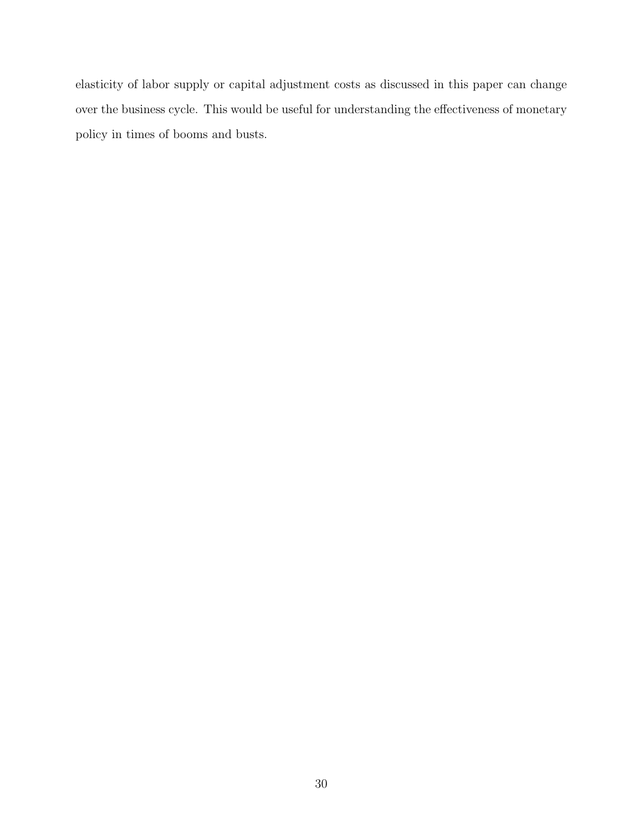elasticity of labor supply or capital adjustment costs as discussed in this paper can change over the business cycle. This would be useful for understanding the effectiveness of monetary policy in times of booms and busts.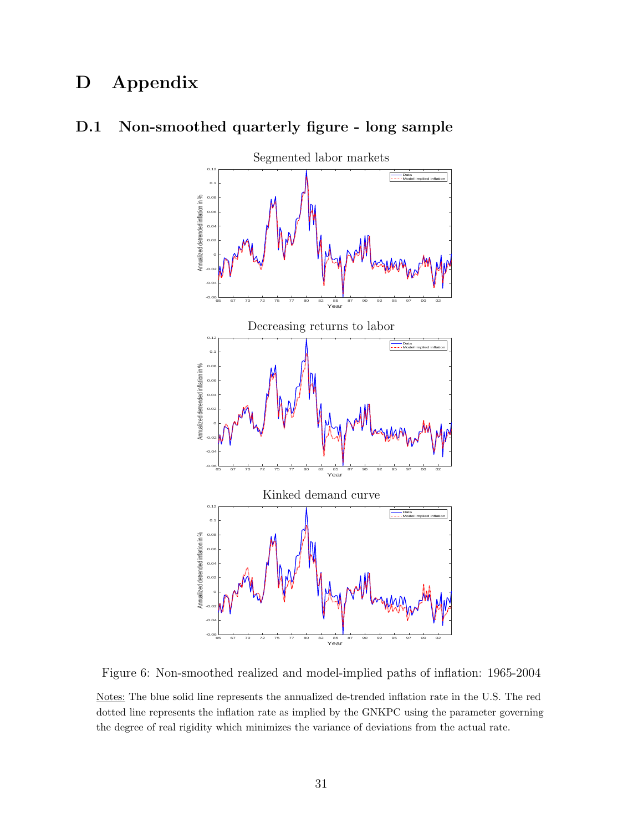# **D Appendix**



### **D.1 Non-smoothed quarterly figure - long sample**

Figure 6: Non-smoothed realized and model-implied paths of inflation: 1965-2004

Notes: The blue solid line represents the annualized de-trended inflation rate in the U.S. The red dotted line represents the inflation rate as implied by the GNKPC using the parameter governing the degree of real rigidity which minimizes the variance of deviations from the actual rate.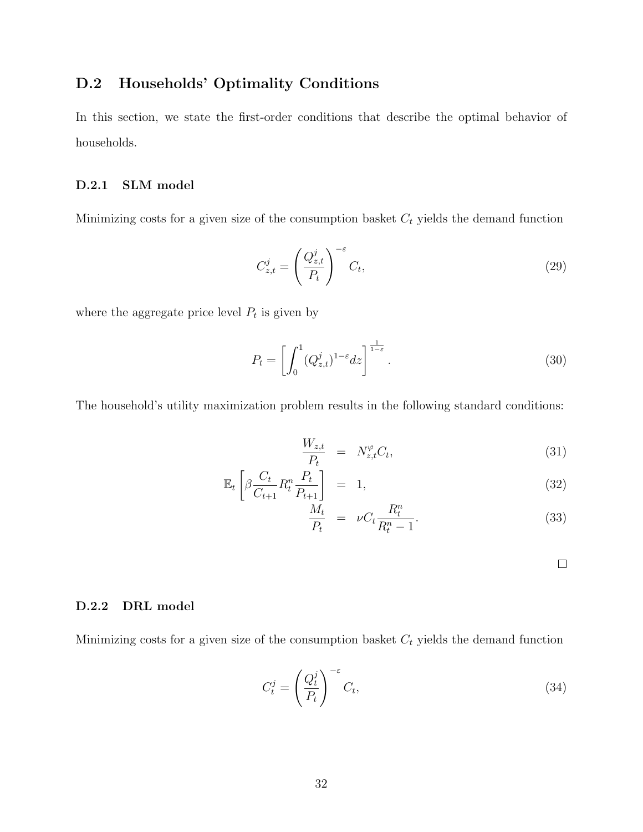# **D.2 Households' Optimality Conditions**

In this section, we state the first-order conditions that describe the optimal behavior of households.

### **D.2.1 SLM model**

Minimizing costs for a given size of the consumption basket *C<sup>t</sup>* yields the demand function

$$
C_{z,t}^j = \left(\frac{Q_{z,t}^j}{P_t}\right)^{-\varepsilon} C_t,\tag{29}
$$

where the aggregate price level  $P_t$  is given by

$$
P_t = \left[ \int_0^1 (Q_{z,t}^j)^{1-\epsilon} dz \right]^{\frac{1}{1-\epsilon}}.
$$
\n(30)

The household's utility maximization problem results in the following standard conditions:

$$
\frac{W_{z,t}}{P_t} = N_{z,t}^{\varphi} C_t, \tag{31}
$$

$$
\mathbb{E}_t \left[ \beta \frac{C_t}{C_{t+1}} R_t^n \frac{P_t}{P_{t+1}} \right] = 1, \tag{32}
$$

$$
\frac{M_t}{P_t} = \nu C_t \frac{R_t^n}{R_t^n - 1}.
$$
\n(33)

 $\Box$ 

### **D.2.2 DRL model**

Minimizing costs for a given size of the consumption basket  $C_t$  yields the demand function

$$
C_t^j = \left(\frac{Q_t^j}{P_t}\right)^{-\varepsilon} C_t,\tag{34}
$$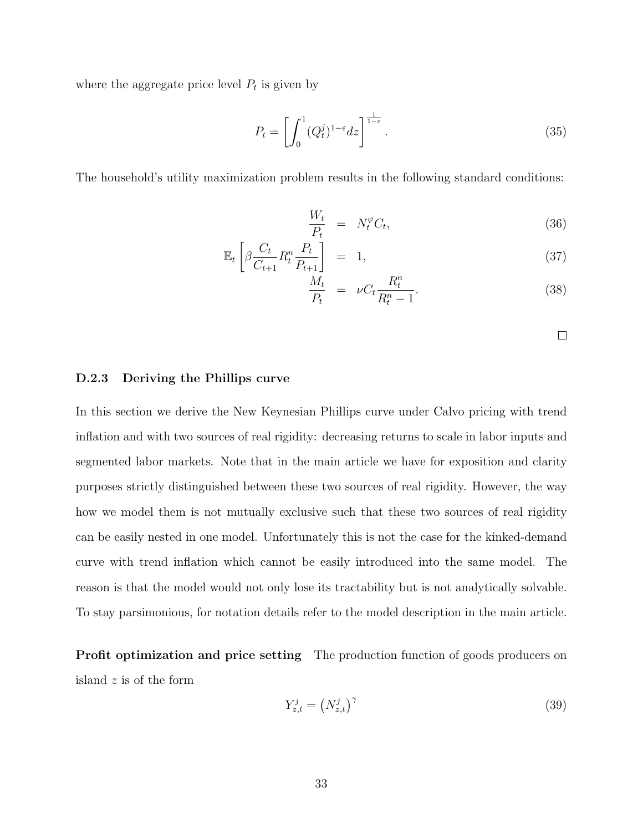where the aggregate price level  $P_t$  is given by

$$
P_t = \left[ \int_0^1 (Q_t^j)^{1-\varepsilon} dz \right]^{\frac{1}{1-\varepsilon}}.
$$
\n(35)

The household's utility maximization problem results in the following standard conditions:

$$
\frac{W_t}{P_t} = N_t^{\varphi} C_t,\tag{36}
$$

$$
\mathbb{E}_t \left[ \beta \frac{C_t}{C_{t+1}} R_t^n \frac{P_t}{P_{t+1}} \right] = 1, \tag{37}
$$

$$
\frac{\overline{M}_t}{P_t} = \nu C_t \frac{R_t^n}{R_t^n - 1}.
$$
\n(38)

### **D.2.3 Deriving the Phillips curve**

In this section we derive the New Keynesian Phillips curve under Calvo pricing with trend inflation and with two sources of real rigidity: decreasing returns to scale in labor inputs and segmented labor markets. Note that in the main article we have for exposition and clarity purposes strictly distinguished between these two sources of real rigidity. However, the way how we model them is not mutually exclusive such that these two sources of real rigidity can be easily nested in one model. Unfortunately this is not the case for the kinked-demand curve with trend inflation which cannot be easily introduced into the same model. The reason is that the model would not only lose its tractability but is not analytically solvable. To stay parsimonious, for notation details refer to the model description in the main article.

**Profit optimization and price setting** The production function of goods producers on island *z* is of the form

$$
Y_{z,t}^j = \left(N_{z,t}^j\right)^\gamma \tag{39}
$$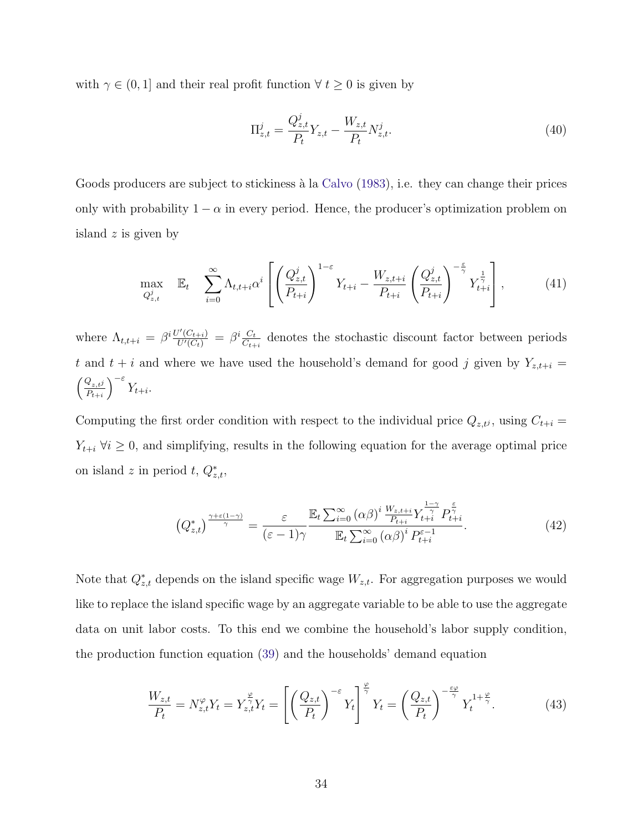with  $\gamma \in (0, 1]$  and their real profit function  $\forall t \geq 0$  is given by

$$
\Pi_{z,t}^j = \frac{Q_{z,t}^j}{P_t} Y_{z,t} - \frac{W_{z,t}}{P_t} N_{z,t}^j.
$$
\n(40)

Goods producers are subject to stickiness à la Calvo (1983), i.e. they can change their prices only with probability  $1 - \alpha$  in every period. Hence, the producer's optimization problem on island *z* is given by

$$
\max_{Q_{z,t}^j} \quad \mathbb{E}_t \quad \sum_{i=0}^{\infty} \Lambda_{t,t+i} \alpha^i \left[ \left( \frac{Q_{z,t}^j}{P_{t+i}} \right)^{1-\varepsilon} Y_{t+i} - \frac{W_{z,t+i}}{P_{t+i}} \left( \frac{Q_{z,t}^j}{P_{t+i}} \right)^{-\frac{\varepsilon}{\gamma}} Y_{t+i}^{\frac{1}{\gamma}} \right], \tag{41}
$$

where  $\Lambda_{t,t+i} = \beta^i \frac{U'(C_{t+i})}{U'(C_t)} = \beta^i \frac{C_t}{C_{t+i}}$  denotes the stochastic discount factor between periods *t* and  $t + i$  and where we have used the household's demand for good *j* given by  $Y_{z,t+i} =$  $\int Q_{z,t}$ *j*  $P_{t+i}$ *<sup>−</sup><sup>ε</sup> Yt*+*i.*

Computing the first order condition with respect to the individual price  $Q_{z,t}$ <sup>*j*</sup>, using  $C_{t+i}$  =  $Y_{t+i}$   $\forall i \geq 0$ , and simplifying, results in the following equation for the average optimal price on island *z* in period *t*,  $Q_{z,t}^*$ ,

$$
\left(Q_{z,t}^{*}\right)^{\frac{\gamma+\varepsilon(1-\gamma)}{\gamma}} = \frac{\varepsilon}{(\varepsilon-1)\gamma} \frac{\mathbb{E}_{t} \sum_{i=0}^{\infty} (\alpha\beta)^{i} \frac{W_{z,t+i}}{P_{t+i}} Y_{t+i}^{\frac{1-\gamma}{\gamma}} P_{t+i}^{\frac{\varepsilon}{\gamma}}}{\mathbb{E}_{t} \sum_{i=0}^{\infty} (\alpha\beta)^{i} P_{t+i}^{\varepsilon-1}}.
$$
\n(42)

Note that  $Q_{z,t}^*$  depends on the island specific wage  $W_{z,t}$ . For aggregation purposes we would like to replace the island specific wage by an aggregate variable to be able to use the aggregate data on unit labor costs. To this end we combine the household's labor supply condition, the production function equation (39) and the households' demand equation

$$
\frac{W_{z,t}}{P_t} = N_{z,t}^{\varphi} Y_t = Y_{z,t}^{\frac{\varphi}{\gamma}} Y_t = \left[ \left( \frac{Q_{z,t}}{P_t} \right)^{-\varepsilon} Y_t \right]^{\frac{\varphi}{\gamma}} Y_t = \left( \frac{Q_{z,t}}{P_t} \right)^{-\frac{\varepsilon\varphi}{\gamma}} Y_t^{1+\frac{\varphi}{\gamma}}.
$$
(43)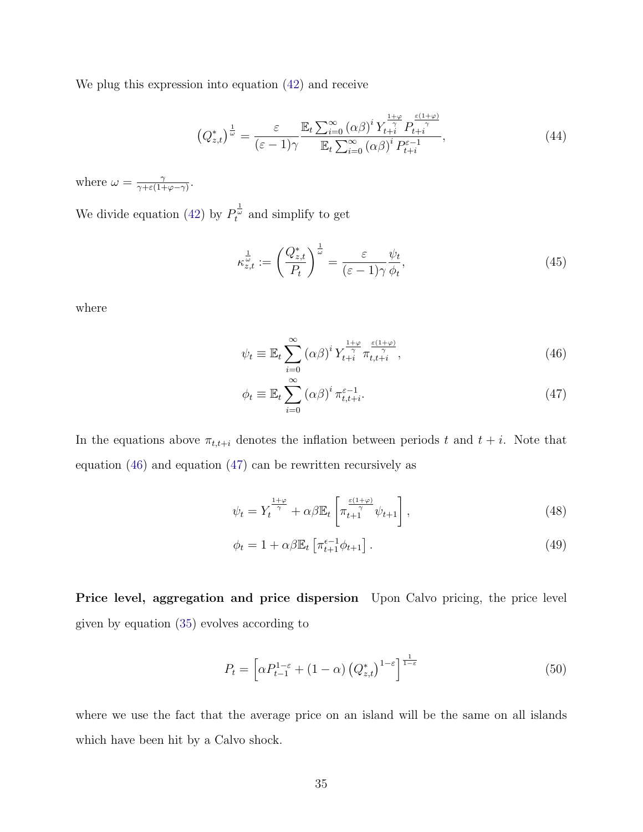We plug this expression into equation (42) and receive

$$
\left(Q_{z,t}^*\right)^{\frac{1}{\omega}} = \frac{\varepsilon}{(\varepsilon - 1)\gamma} \frac{\mathbb{E}_t \sum_{i=0}^{\infty} \left(\alpha \beta\right)^i Y_{t+i}^{\frac{1+\varphi}{\gamma}} P_{t+i}^{\frac{\varepsilon(1+\varphi)}{\gamma}}}{\mathbb{E}_t \sum_{i=0}^{\infty} \left(\alpha \beta\right)^i P_{t+i}^{\varepsilon-1}},\tag{44}
$$

where  $\omega = \frac{\gamma}{\gamma + \varepsilon(1 + \varphi - \gamma)}$ .

We divide equation (42) by  $P_t^{\frac{1}{\omega}}$  and simplify to get

$$
\kappa_{z,t}^{\frac{1}{\omega}} := \left(\frac{Q_{z,t}^*}{P_t}\right)^{\frac{1}{\omega}} = \frac{\varepsilon}{(\varepsilon - 1)\gamma} \frac{\psi_t}{\phi_t},\tag{45}
$$

where

$$
\psi_t \equiv \mathbb{E}_t \sum_{i=0}^{\infty} \left( \alpha \beta \right)^i Y_{t+i}^{\frac{1+\varphi}{\gamma}} \pi_{t,t+i}^{\frac{\varepsilon(1+\varphi)}{\gamma}}, \tag{46}
$$

$$
\phi_t \equiv \mathbb{E}_t \sum_{i=0}^{\infty} \left( \alpha \beta \right)^i \pi_{t,t+i}^{\varepsilon-1}.
$$
\n(47)

In the equations above  $\pi_{t,t+i}$  denotes the inflation between periods *t* and  $t + i$ . Note that equation (46) and equation (47) can be rewritten recursively as

$$
\psi_t = Y_t^{\frac{1+\varphi}{\gamma}} + \alpha \beta \mathbb{E}_t \left[ \pi_{t+1}^{\frac{\varepsilon(1+\varphi)}{\gamma}} \psi_{t+1} \right],\tag{48}
$$

$$
\phi_t = 1 + \alpha \beta \mathbb{E}_t \left[ \pi_{t+1}^{\epsilon-1} \phi_{t+1} \right]. \tag{49}
$$

**Price level, aggregation and price dispersion** Upon Calvo pricing, the price level given by equation (35) evolves according to

$$
P_t = \left[ \alpha P_{t-1}^{1-\varepsilon} + (1-\alpha) \left( Q_{z,t}^* \right)^{1-\varepsilon} \right]^{\frac{1}{1-\varepsilon}}
$$
(50)

where we use the fact that the average price on an island will be the same on all islands which have been hit by a Calvo shock.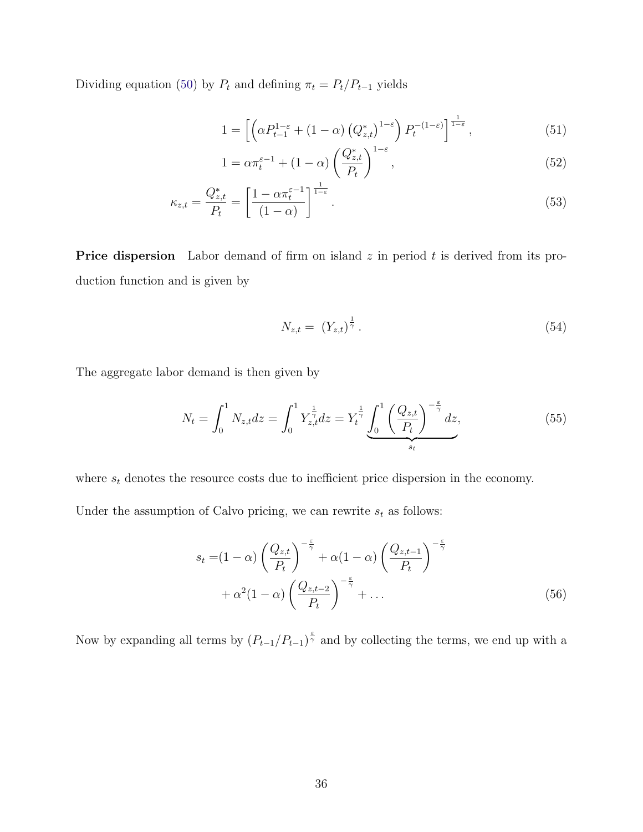Dividing equation (50) by  $P_t$  and defining  $\pi_t = P_t/P_{t-1}$  yields

$$
1 = \left[ \left( \alpha P_{t-1}^{1-\varepsilon} + (1-\alpha) \left( Q_{z,t}^* \right)^{1-\varepsilon} \right) P_t^{-(1-\varepsilon)} \right]^{\frac{1}{1-\varepsilon}},\tag{51}
$$

$$
1 = \alpha \pi_t^{\varepsilon - 1} + (1 - \alpha) \left( \frac{Q_{z,t}^*}{P_t} \right)^{1 - \varepsilon},\tag{52}
$$

$$
\kappa_{z,t} = \frac{Q_{z,t}^*}{P_t} = \left[\frac{1 - \alpha \pi_t^{\varepsilon - 1}}{(1 - \alpha)}\right]^{\frac{1}{1 - \varepsilon}}.
$$
\n(53)

**Price dispersion** Labor demand of firm on island *z* in period *t* is derived from its production function and is given by

$$
N_{z,t} = (Y_{z,t})^{\frac{1}{\gamma}}.
$$
\n(54)

The aggregate labor demand is then given by

$$
N_t = \int_0^1 N_{z,t} dz = \int_0^1 Y_{z,t}^{\frac{1}{\gamma}} dz = Y_t^{\frac{1}{\gamma}} \underbrace{\int_0^1 \left(\frac{Q_{z,t}}{P_t}\right)^{-\frac{\varepsilon}{\gamma}} dz}_{s_t},\tag{55}
$$

where  $s_t$  denotes the resource costs due to inefficient price dispersion in the economy.

Under the assumption of Calvo pricing, we can rewrite  $s_t$  as follows:

$$
s_t = (1 - \alpha) \left(\frac{Q_{z,t}}{P_t}\right)^{-\frac{\epsilon}{\gamma}} + \alpha(1 - \alpha) \left(\frac{Q_{z,t-1}}{P_t}\right)^{-\frac{\epsilon}{\gamma}}
$$

$$
+ \alpha^2 (1 - \alpha) \left(\frac{Q_{z,t-2}}{P_t}\right)^{-\frac{\epsilon}{\gamma}} + \dots
$$
(56)

Now by expanding all terms by  $(P_{t-1}/P_{t-1})^{\frac{\varepsilon}{\gamma}}$  and by collecting the terms, we end up with a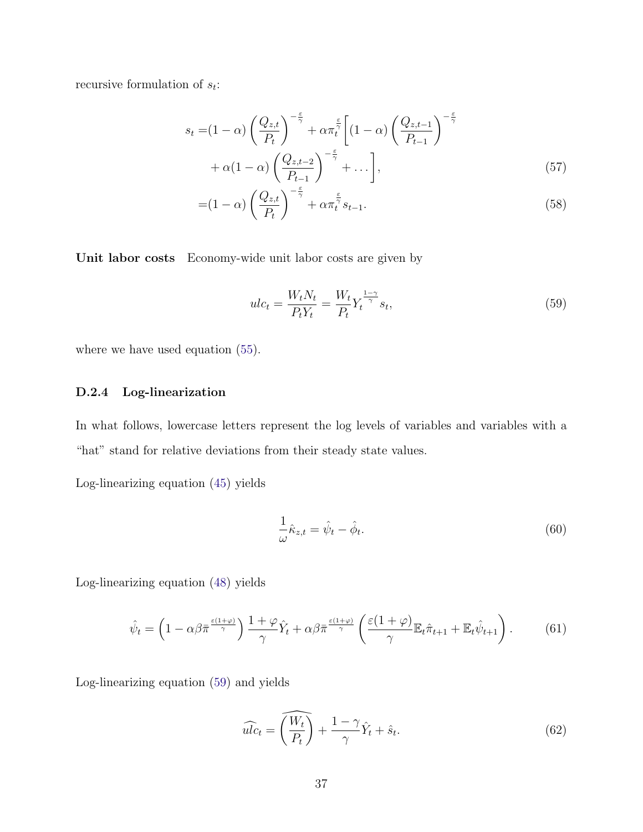recursive formulation of *st*:

$$
s_t = (1 - \alpha) \left(\frac{Q_{z,t}}{P_t}\right)^{-\frac{\varepsilon}{\gamma}} + \alpha \pi_t^{\frac{\varepsilon}{\gamma}} \left[ (1 - \alpha) \left(\frac{Q_{z,t-1}}{P_{t-1}}\right)^{-\frac{\varepsilon}{\gamma}} + \alpha (1 - \alpha) \left(\frac{Q_{z,t-2}}{P_{t-1}}\right)^{-\frac{\varepsilon}{\gamma}} + \dots \right],
$$
\n
$$
(5. \lambda)^{-\frac{\varepsilon}{\gamma}}
$$
\n
$$
(5. \lambda)^{-\frac{\varepsilon}{\gamma}}
$$
\n
$$
(5. \lambda)^{-\frac{\varepsilon}{\gamma}}
$$
\n
$$
(5. \lambda)^{-\frac{\varepsilon}{\gamma}}
$$
\n
$$
(5. \lambda)^{-\frac{\varepsilon}{\gamma}}
$$
\n
$$
(5. \lambda)^{-\frac{\varepsilon}{\gamma}}
$$
\n
$$
(5. \lambda)^{-\frac{\varepsilon}{\gamma}}
$$
\n
$$
(5. \lambda)^{-\frac{\varepsilon}{\gamma}}
$$

$$
=(1-\alpha)\left(\frac{Q_{z,t}}{P_t}\right)^{-\frac{\varepsilon}{\gamma}} + \alpha \pi_t^{\frac{\varepsilon}{\gamma}} s_{t-1}.
$$
\n(58)

**Unit labor costs** Economy-wide unit labor costs are given by

$$
ulc_t = \frac{W_t N_t}{P_t Y_t} = \frac{W_t}{P_t} Y_t^{\frac{1-\gamma}{\gamma}} s_t,
$$
\n
$$
(59)
$$

where we have used equation (55).

### **D.2.4 Log-linearization**

In what follows, lowercase letters represent the log levels of variables and variables with a "hat" stand for relative deviations from their steady state values.

Log-linearizing equation (45) yields

$$
\frac{1}{\omega}\hat{\kappa}_{z,t} = \hat{\psi}_t - \hat{\phi}_t.
$$
\n(60)

Log-linearizing equation (48) yields

$$
\hat{\psi}_t = \left(1 - \alpha \beta \bar{\pi} \frac{\epsilon(1+\varphi)}{\gamma}\right) \frac{1+\varphi}{\gamma} \hat{Y}_t + \alpha \beta \bar{\pi} \frac{\epsilon(1+\varphi)}{\gamma} \left(\frac{\epsilon(1+\varphi)}{\gamma} \mathbb{E}_t \hat{\pi}_{t+1} + \mathbb{E}_t \hat{\psi}_{t+1}\right). \tag{61}
$$

Log-linearizing equation (59) and yields

$$
\widehat{ulc_t} = \widehat{\left(\frac{W_t}{P_t}\right)} + \frac{1-\gamma}{\gamma}\hat{Y}_t + \hat{s}_t.
$$
\n(62)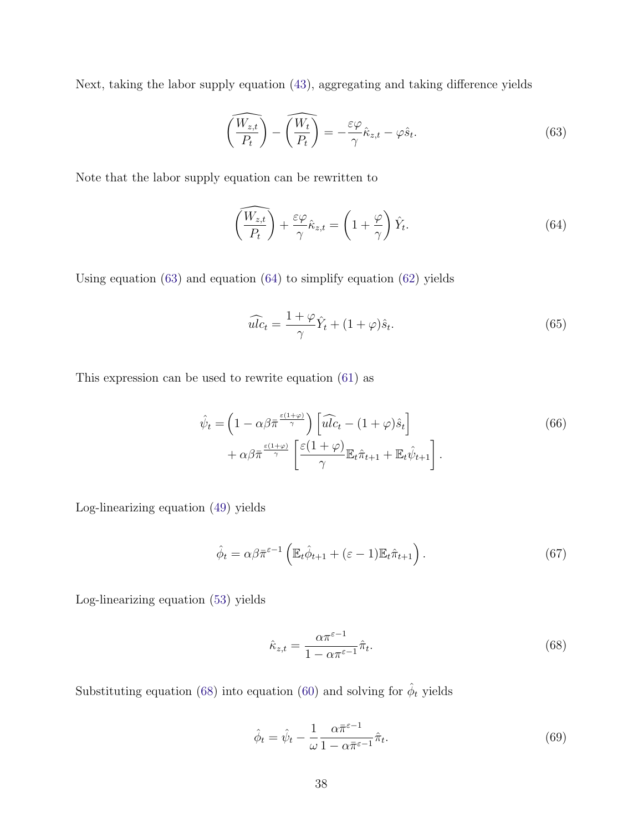Next, taking the labor supply equation (43), aggregating and taking difference yields

$$
\left(\frac{\widehat{W_{z,t}}}{P_t}\right) - \left(\frac{\widehat{W_t}}{P_t}\right) = -\frac{\varepsilon\varphi}{\gamma}\hat{\kappa}_{z,t} - \varphi\hat{s}_t.
$$
\n(63)

Note that the labor supply equation can be rewritten to

$$
\left(\frac{\widehat{W_{z,t}}}{P_t}\right) + \frac{\varepsilon \varphi}{\gamma} \widehat{\kappa}_{z,t} = \left(1 + \frac{\varphi}{\gamma}\right) \widehat{Y}_t.
$$
\n(64)

Using equation (63) and equation (64) to simplify equation (62) yields

$$
\widehat{ulc}_t = \frac{1+\varphi}{\gamma}\widehat{Y}_t + (1+\varphi)\widehat{s}_t.
$$
\n(65)

This expression can be used to rewrite equation (61) as

$$
\hat{\psi}_t = \left(1 - \alpha \beta \bar{\pi} \frac{\epsilon(1+\varphi)}{\gamma}\right) \left[\widehat{ulc}_t - (1+\varphi)\hat{s}_t\right] \n+ \alpha \beta \bar{\pi} \frac{\epsilon(1+\varphi)}{\gamma} \left[\frac{\epsilon(1+\varphi)}{\gamma} \mathbb{E}_t \hat{\pi}_{t+1} + \mathbb{E}_t \hat{\psi}_{t+1}\right].
$$
\n(66)

Log-linearizing equation (49) yields

$$
\hat{\phi}_t = \alpha \beta \bar{\pi}^{\varepsilon - 1} \left( \mathbb{E}_t \hat{\phi}_{t+1} + (\varepsilon - 1) \mathbb{E}_t \hat{\pi}_{t+1} \right).
$$
\n(67)

Log-linearizing equation (53) yields

$$
\hat{\kappa}_{z,t} = \frac{\alpha \pi^{\varepsilon - 1}}{1 - \alpha \pi^{\varepsilon - 1}} \hat{\pi}_t.
$$
\n(68)

Substituting equation (68) into equation (60) and solving for  $\hat{\phi}_t$  yields

$$
\hat{\phi}_t = \hat{\psi}_t - \frac{1}{\omega} \frac{\alpha \bar{\pi}^{\varepsilon - 1}}{1 - \alpha \bar{\pi}^{\varepsilon - 1}} \hat{\pi}_t.
$$
\n(69)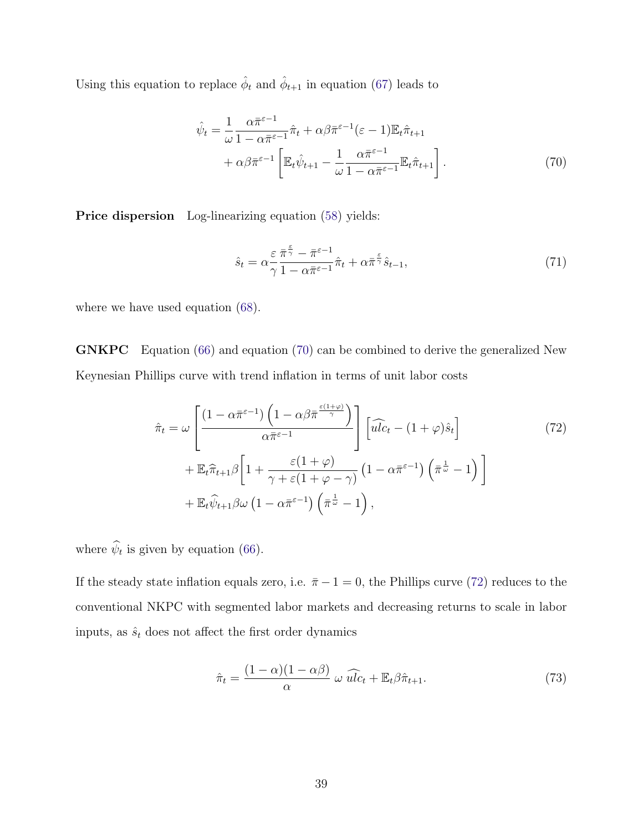Using this equation to replace  $\hat{\phi}_t$  and  $\hat{\phi}_{t+1}$  in equation (67) leads to

$$
\hat{\psi}_t = \frac{1}{\omega} \frac{\alpha \bar{\pi}^{\varepsilon - 1}}{1 - \alpha \bar{\pi}^{\varepsilon - 1}} \hat{\pi}_t + \alpha \beta \bar{\pi}^{\varepsilon - 1} (\varepsilon - 1) \mathbb{E}_t \hat{\pi}_{t+1} \n+ \alpha \beta \bar{\pi}^{\varepsilon - 1} \left[ \mathbb{E}_t \hat{\psi}_{t+1} - \frac{1}{\omega} \frac{\alpha \bar{\pi}^{\varepsilon - 1}}{1 - \alpha \bar{\pi}^{\varepsilon - 1}} \mathbb{E}_t \hat{\pi}_{t+1} \right].
$$
\n(70)

**Price dispersion** Log-linearizing equation (58) yields:

$$
\hat{s}_t = \alpha \frac{\varepsilon}{\gamma} \frac{\bar{\pi}^{\frac{\varepsilon}{\gamma}} - \bar{\pi}^{\varepsilon - 1}}{1 - \alpha \bar{\pi}^{\varepsilon - 1}} \hat{\pi}_t + \alpha \bar{\pi}^{\frac{\varepsilon}{\gamma}} \hat{s}_{t-1},\tag{71}
$$

where we have used equation (68).

**GNKPC** Equation (66) and equation (70) can be combined to derive the generalized New Keynesian Phillips curve with trend inflation in terms of unit labor costs

$$
\hat{\pi}_t = \omega \left[ \frac{\left(1 - \alpha \bar{\pi}^{\varepsilon - 1}\right) \left(1 - \alpha \beta \bar{\pi}^{\frac{\varepsilon (1 + \varphi)}{\gamma}}\right)}{\alpha \bar{\pi}^{\varepsilon - 1}} \right] \left[\widehat{ulc}_t - (1 + \varphi)\hat{s}_t\right] \n+ \mathbb{E}_t \hat{\pi}_{t+1} \beta \left[1 + \frac{\varepsilon (1 + \varphi)}{\gamma + \varepsilon (1 + \varphi - \gamma)} \left(1 - \alpha \bar{\pi}^{\varepsilon - 1}\right) \left(\bar{\pi}^{\frac{1}{\omega}} - 1\right)\right] \n+ \mathbb{E}_t \hat{\psi}_{t+1} \beta \omega \left(1 - \alpha \bar{\pi}^{\varepsilon - 1}\right) \left(\bar{\pi}^{\frac{1}{\omega}} - 1\right),
$$
\n(72)

where  $\hat{\psi}_t$  is given by equation (66).

If the steady state inflation equals zero, i.e.  $\bar{\pi}$  *−* 1 = 0, the Phillips curve (72) reduces to the conventional NKPC with segmented labor markets and decreasing returns to scale in labor inputs, as  $\hat{s}_t$  does not affect the first order dynamics

$$
\hat{\pi}_t = \frac{(1 - \alpha)(1 - \alpha\beta)}{\alpha} \omega \widehat{ulc}_t + \mathbb{E}_t \beta \hat{\pi}_{t+1}.
$$
\n(73)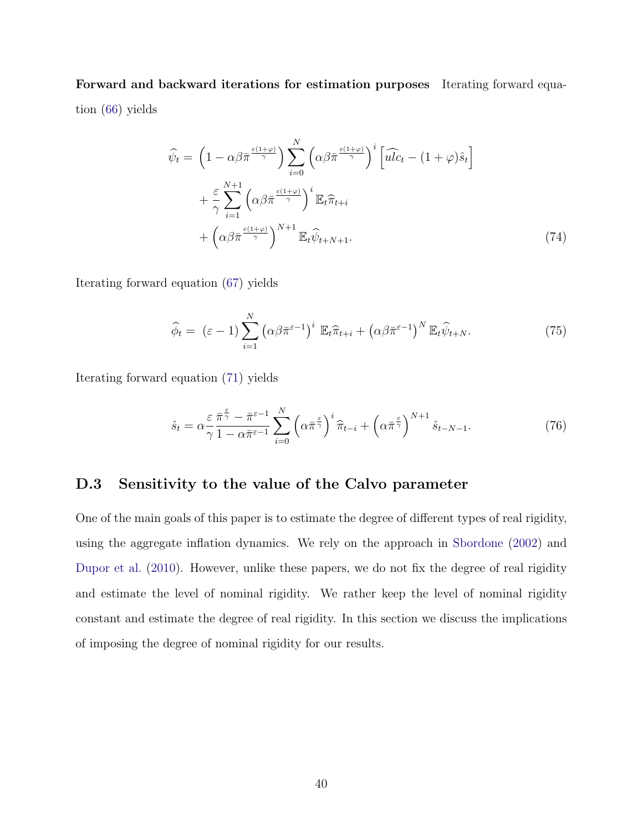**Forward and backward iterations for estimation purposes** Iterating forward equation (66) yields

$$
\widehat{\psi}_t = \left(1 - \alpha \beta \bar{\pi} \frac{\epsilon(1+\varphi)}{\gamma}\right) \sum_{i=0}^N \left(\alpha \beta \bar{\pi} \frac{\epsilon(1+\varphi)}{\gamma}\right)^i \left[\widehat{ulc}_t - (1+\varphi)\hat{s}_t\right] \n+ \frac{\varepsilon}{\gamma} \sum_{i=1}^{N+1} \left(\alpha \beta \bar{\pi} \frac{\epsilon(1+\varphi)}{\gamma}\right)^i \mathbb{E}_t \widehat{\pi}_{t+i} \n+ \left(\alpha \beta \bar{\pi} \frac{\epsilon(1+\varphi)}{\gamma}\right)^{N+1} \mathbb{E}_t \widehat{\psi}_{t+N+1}.
$$
\n(74)

Iterating forward equation (67) yields

$$
\widehat{\phi}_t = (\varepsilon - 1) \sum_{i=1}^N \left( \alpha \beta \bar{\pi}^{\varepsilon - 1} \right)^i \mathbb{E}_t \widehat{\pi}_{t+i} + \left( \alpha \beta \bar{\pi}^{\varepsilon - 1} \right)^N \mathbb{E}_t \widehat{\psi}_{t+N}.
$$
\n(75)

Iterating forward equation (71) yields

$$
\hat{s}_t = \alpha \frac{\varepsilon}{\gamma} \frac{\bar{\pi}^{\frac{\varepsilon}{\gamma}} - \bar{\pi}^{\varepsilon - 1}}{\gamma - 1 - \alpha \bar{\pi}^{\varepsilon - 1}} \sum_{i=0}^N \left( \alpha \bar{\pi}^{\frac{\varepsilon}{\gamma}} \right)^i \hat{\pi}_{t-i} + \left( \alpha \bar{\pi}^{\frac{\varepsilon}{\gamma}} \right)^{N+1} \hat{s}_{t-N-1}.
$$
\n(76)

### **D.3 Sensitivity to the value of the Calvo parameter**

One of the main goals of this paper is to estimate the degree of different types of real rigidity, using the aggregate inflation dynamics. We rely on the approach in Sbordone (2002) and Dupor et al. (2010). However, unlike these papers, we do not fix the degree of real rigidity and estimate the level of nominal rigidity. We rather keep the level of nominal rigidity constant and estimate the degree of real rigidity. In this section we discuss the implications of imposing the degree of nominal rigidity for our results.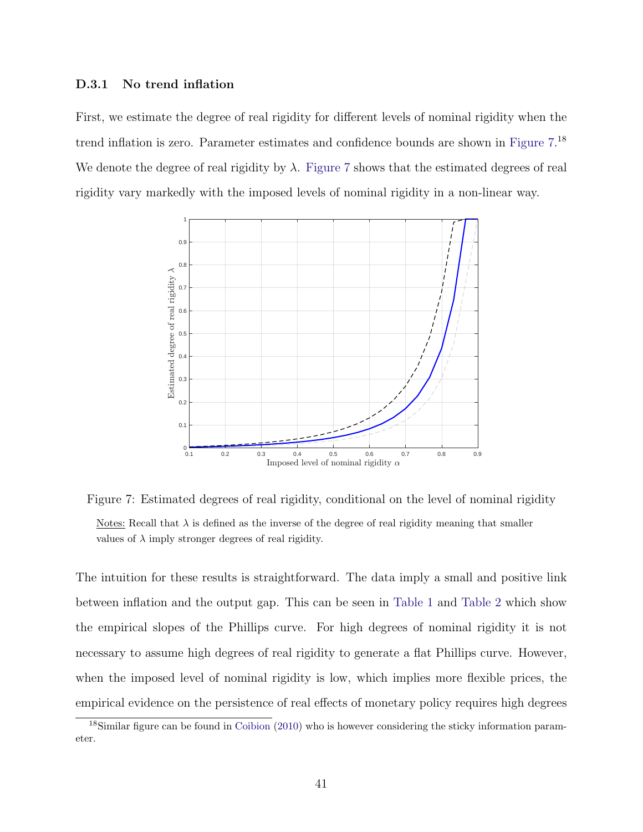### **D.3.1 No trend inflation**

First, we estimate the degree of real rigidity for different levels of nominal rigidity when the trend inflation is zero. Parameter estimates and confidence bounds are shown in Figure 7.<sup>18</sup> We denote the degree of real rigidity by  $\lambda$ . Figure 7 shows that the estimated degrees of real rigidity vary markedly with the imposed levels of nominal rigidity in a non-linear way.



Figure 7: Estimated degrees of real rigidity, conditional on the level of nominal rigidity Notes: Recall that  $\lambda$  is defined as the inverse of the degree of real rigidity meaning that smaller values of  $\lambda$  imply stronger degrees of real rigidity.

The intuition for these results is straightforward. The data imply a small and positive link between inflation and the output gap. This can be seen in Table 1 and Table 2 which show the empirical slopes of the Phillips curve. For high degrees of nominal rigidity it is not necessary to assume high degrees of real rigidity to generate a flat Phillips curve. However, when the imposed level of nominal rigidity is low, which implies more flexible prices, the empirical evidence on the persistence of real effects of monetary policy requires high degrees

<sup>&</sup>lt;sup>18</sup>Similar figure can be found in Coibion (2010) who is however considering the sticky information parameter.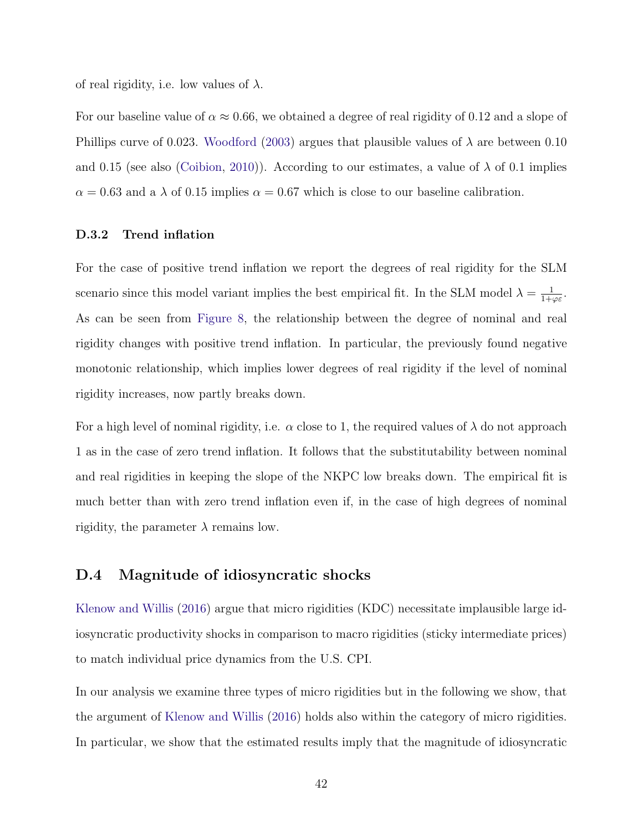of real rigidity, i.e. low values of  $\lambda$ .

For our baseline value of *α ≈* 0*.*66, we obtained a degree of real rigidity of 0.12 and a slope of Phillips curve of 0.023. Woodford (2003) argues that plausible values of *λ* are between 0.10 and 0.15 (see also (Coibion, 2010)). According to our estimates, a value of  $\lambda$  of 0.1 implies  $\alpha = 0.63$  and a  $\lambda$  of 0.15 implies  $\alpha = 0.67$  which is close to our baseline calibration.

### **D.3.2 Trend inflation**

For the case of positive trend inflation we report the degrees of real rigidity for the SLM scenario since this model variant implies the best empirical fit. In the SLM model  $\lambda = \frac{1}{1+\varphi\varepsilon}$ . As can be seen from Figure 8, the relationship between the degree of nominal and real rigidity changes with positive trend inflation. In particular, the previously found negative monotonic relationship, which implies lower degrees of real rigidity if the level of nominal rigidity increases, now partly breaks down.

For a high level of nominal rigidity, i.e. *α* close to 1, the required values of *λ* do not approach 1 as in the case of zero trend inflation. It follows that the substitutability between nominal and real rigidities in keeping the slope of the NKPC low breaks down. The empirical fit is much better than with zero trend inflation even if, in the case of high degrees of nominal rigidity, the parameter  $\lambda$  remains low.

### **D.4 Magnitude of idiosyncratic shocks**

Klenow and Willis (2016) argue that micro rigidities (KDC) necessitate implausible large idiosyncratic productivity shocks in comparison to macro rigidities (sticky intermediate prices) to match individual price dynamics from the U.S. CPI.

In our analysis we examine three types of micro rigidities but in the following we show, that the argument of Klenow and Willis (2016) holds also within the category of micro rigidities. In particular, we show that the estimated results imply that the magnitude of idiosyncratic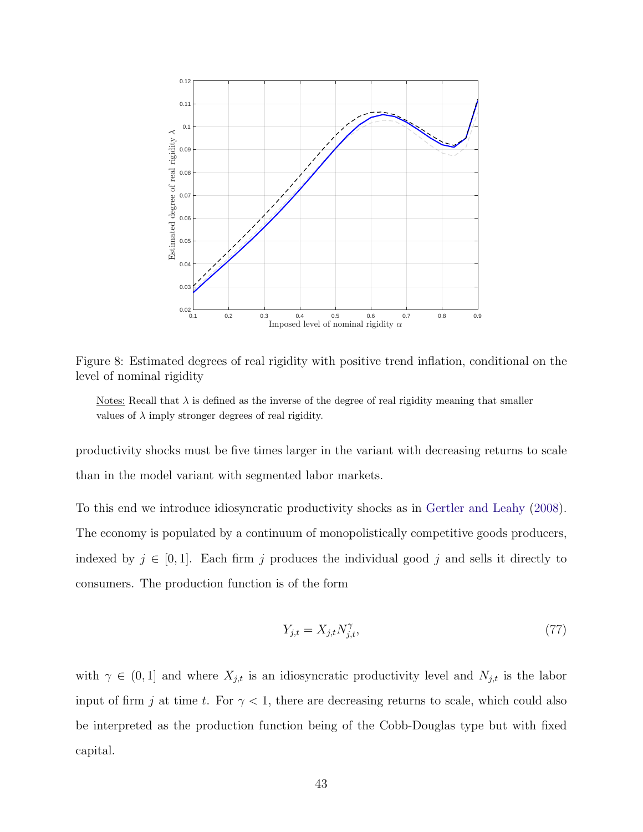

Figure 8: Estimated degrees of real rigidity with positive trend inflation, conditional on the level of nominal rigidity

Notes: Recall that  $\lambda$  is defined as the inverse of the degree of real rigidity meaning that smaller values of  $\lambda$  imply stronger degrees of real rigidity.

productivity shocks must be five times larger in the variant with decreasing returns to scale than in the model variant with segmented labor markets.

To this end we introduce idiosyncratic productivity shocks as in Gertler and Leahy (2008). The economy is populated by a continuum of monopolistically competitive goods producers, indexed by  $j \in [0, 1]$ . Each firm  $j$  produces the individual good  $j$  and sells it directly to consumers. The production function is of the form

$$
Y_{j,t} = X_{j,t} N_{j,t}^{\gamma},\tag{77}
$$

with  $\gamma \in (0,1]$  and where  $X_{j,t}$  is an idiosyncratic productivity level and  $N_{j,t}$  is the labor input of firm *j* at time *t*. For  $\gamma < 1$ , there are decreasing returns to scale, which could also be interpreted as the production function being of the Cobb-Douglas type but with fixed capital.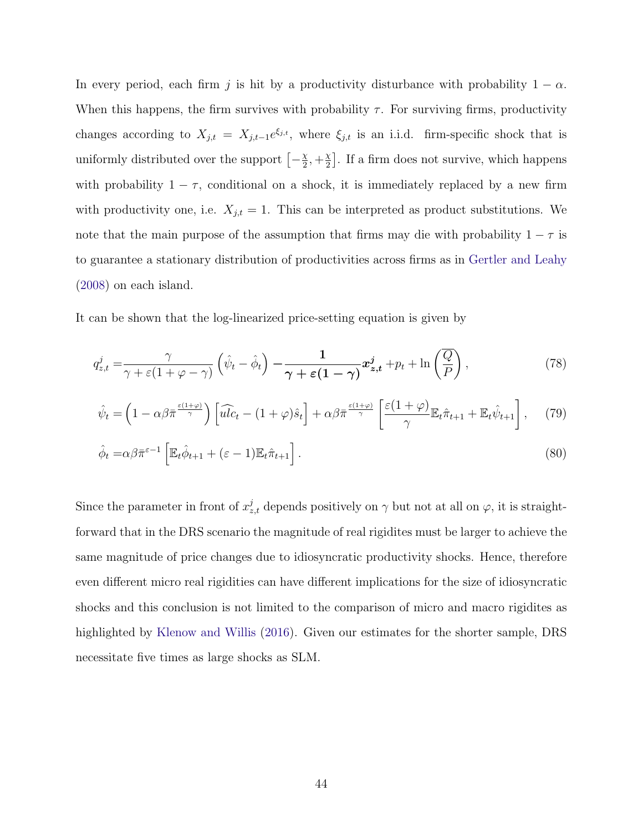In every period, each firm *j* is hit by a productivity disturbance with probability 1 *− α*. When this happens, the firm survives with probability  $\tau$ . For surviving firms, productivity changes according to  $X_{j,t} = X_{j,t-1}e^{\xi_{j,t}}$ , where  $\xi_{j,t}$  is an i.i.d. firm-specific shock that is uniformly distributed over the support  $\left[-\frac{\chi}{2}, +\frac{\chi}{2}\right]$  . If a firm does not survive, which happens with probability  $1 - \tau$ , conditional on a shock, it is immediately replaced by a new firm with productivity one, i.e.  $X_{j,t} = 1$ . This can be interpreted as product substitutions. We note that the main purpose of the assumption that firms may die with probability  $1 - \tau$  is to guarantee a stationary distribution of productivities across firms as in Gertler and Leahy (2008) on each island.

It can be shown that the log-linearized price-setting equation is given by

$$
q_{z,t}^{j} = \frac{\gamma}{\gamma + \varepsilon (1 + \varphi - \gamma)} \left( \hat{\psi}_t - \hat{\phi}_t \right) - \frac{1}{\gamma + \varepsilon (1 - \gamma)} \mathbf{x}_{z,t}^{j} + p_t + \ln \left( \frac{\overline{Q}}{\overline{P}} \right), \tag{78}
$$

$$
\hat{\psi}_t = \left(1 - \alpha \beta \bar{\pi} \frac{\epsilon(1+\varphi)}{\gamma}\right) \left[\widehat{ulc}_t - (1+\varphi)\hat{s}_t\right] + \alpha \beta \bar{\pi} \frac{\epsilon(1+\varphi)}{\gamma} \left[\frac{\epsilon(1+\varphi)}{\gamma} \mathbb{E}_t \hat{\pi}_{t+1} + \mathbb{E}_t \hat{\psi}_{t+1}\right],\tag{79}
$$

$$
\hat{\phi}_t = \alpha \beta \bar{\pi}^{\varepsilon - 1} \left[ \mathbb{E}_t \hat{\phi}_{t+1} + (\varepsilon - 1) \mathbb{E}_t \hat{\pi}_{t+1} \right]. \tag{80}
$$

Since the parameter in front of  $x_{z,t}^j$  depends positively on  $\gamma$  but not at all on  $\varphi$ , it is straightforward that in the DRS scenario the magnitude of real rigidites must be larger to achieve the same magnitude of price changes due to idiosyncratic productivity shocks. Hence, therefore even different micro real rigidities can have different implications for the size of idiosyncratic shocks and this conclusion is not limited to the comparison of micro and macro rigidites as highlighted by Klenow and Willis (2016). Given our estimates for the shorter sample, DRS necessitate five times as large shocks as SLM.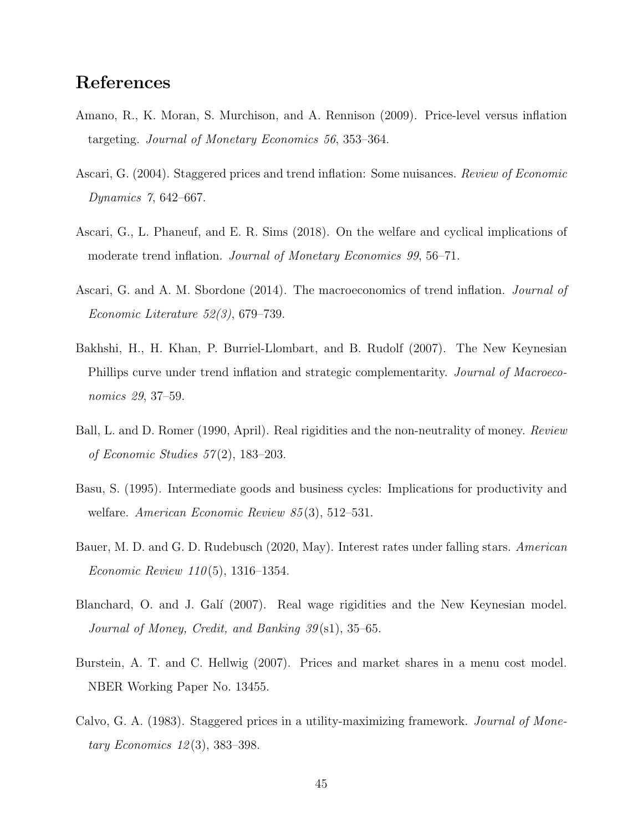# **References**

- Amano, R., K. Moran, S. Murchison, and A. Rennison (2009). Price-level versus inflation targeting. *Journal of Monetary Economics 56*, 353–364.
- Ascari, G. (2004). Staggered prices and trend inflation: Some nuisances. *Review of Economic Dynamics 7*, 642–667.
- Ascari, G., L. Phaneuf, and E. R. Sims (2018). On the welfare and cyclical implications of moderate trend inflation. *Journal of Monetary Economics 99*, 56–71.
- Ascari, G. and A. M. Sbordone (2014). The macroeconomics of trend inflation. *Journal of Economic Literature 52(3)*, 679–739.
- Bakhshi, H., H. Khan, P. Burriel-Llombart, and B. Rudolf (2007). The New Keynesian Phillips curve under trend inflation and strategic complementarity. *Journal of Macroeconomics 29*, 37–59.
- Ball, L. and D. Romer (1990, April). Real rigidities and the non-neutrality of money. *Review of Economic Studies 57* (2), 183–203.
- Basu, S. (1995). Intermediate goods and business cycles: Implications for productivity and welfare. *American Economic Review 85* (3), 512–531.
- Bauer, M. D. and G. D. Rudebusch (2020, May). Interest rates under falling stars. *American Economic Review 110* (5), 1316–1354.
- Blanchard, O. and J. Gal´ı (2007). Real wage rigidities and the New Keynesian model. *Journal of Money, Credit, and Banking 39* (s1), 35–65.
- Burstein, A. T. and C. Hellwig (2007). Prices and market shares in a menu cost model. NBER Working Paper No. 13455.
- Calvo, G. A. (1983). Staggered prices in a utility-maximizing framework. *Journal of Monetary Economics 12* (3), 383–398.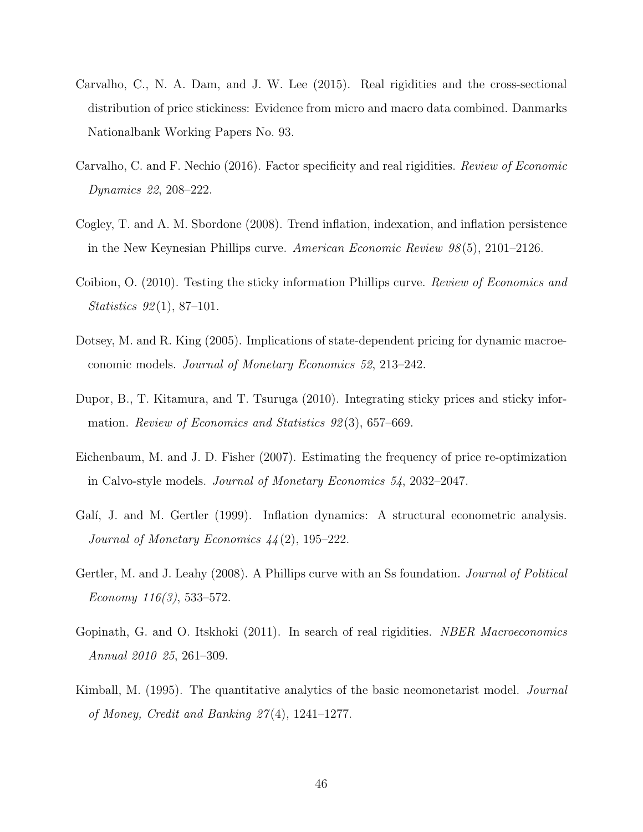- Carvalho, C., N. A. Dam, and J. W. Lee (2015). Real rigidities and the cross-sectional distribution of price stickiness: Evidence from micro and macro data combined. Danmarks Nationalbank Working Papers No. 93.
- Carvalho, C. and F. Nechio (2016). Factor specificity and real rigidities. *Review of Economic Dynamics 22*, 208–222.
- Cogley, T. and A. M. Sbordone (2008). Trend inflation, indexation, and inflation persistence in the New Keynesian Phillips curve. *American Economic Review 98* (5), 2101–2126.
- Coibion, O. (2010). Testing the sticky information Phillips curve. *Review of Economics and Statistics 92* (1), 87–101.
- Dotsey, M. and R. King (2005). Implications of state-dependent pricing for dynamic macroeconomic models. *Journal of Monetary Economics 52*, 213–242.
- Dupor, B., T. Kitamura, and T. Tsuruga (2010). Integrating sticky prices and sticky information. *Review of Economics and Statistics 92* (3), 657–669.
- Eichenbaum, M. and J. D. Fisher (2007). Estimating the frequency of price re-optimization in Calvo-style models. *Journal of Monetary Economics 54*, 2032–2047.
- Galí, J. and M. Gertler (1999). Inflation dynamics: A structural econometric analysis. *Journal of Monetary Economics 44* (2), 195–222.
- Gertler, M. and J. Leahy (2008). A Phillips curve with an Ss foundation. *Journal of Political Economy 116(3)*, 533–572.
- Gopinath, G. and O. Itskhoki (2011). In search of real rigidities. *NBER Macroeconomics Annual 2010 25*, 261–309.
- Kimball, M. (1995). The quantitative analytics of the basic neomonetarist model. *Journal of Money, Credit and Banking 27* (4), 1241–1277.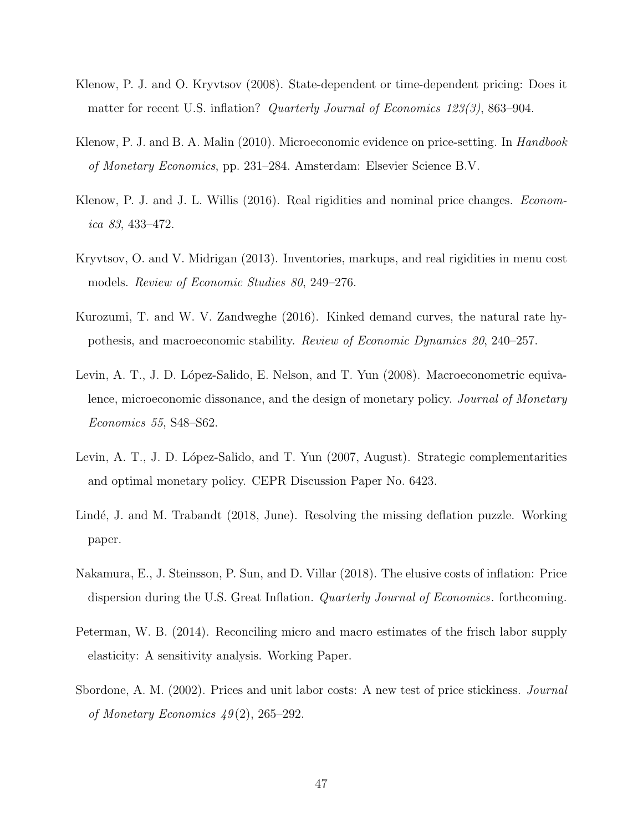- Klenow, P. J. and O. Kryvtsov (2008). State-dependent or time-dependent pricing: Does it matter for recent U.S. inflation? *Quarterly Journal of Economics 123(3)*, 863–904.
- Klenow, P. J. and B. A. Malin (2010). Microeconomic evidence on price-setting. In *Handbook of Monetary Economics*, pp. 231–284. Amsterdam: Elsevier Science B.V.
- Klenow, P. J. and J. L. Willis (2016). Real rigidities and nominal price changes. *Economica 83*, 433–472.
- Kryvtsov, O. and V. Midrigan (2013). Inventories, markups, and real rigidities in menu cost models. *Review of Economic Studies 80*, 249–276.
- Kurozumi, T. and W. V. Zandweghe (2016). Kinked demand curves, the natural rate hypothesis, and macroeconomic stability. *Review of Economic Dynamics 20*, 240–257.
- Levin, A. T., J. D. López-Salido, E. Nelson, and T. Yun (2008). Macroeconometric equivalence, microeconomic dissonance, and the design of monetary policy. *Journal of Monetary Economics 55*, S48–S62.
- Levin, A. T., J. D. López-Salido, and T. Yun (2007, August). Strategic complementarities and optimal monetary policy. CEPR Discussion Paper No. 6423.
- Lindé, J. and M. Trabandt (2018, June). Resolving the missing deflation puzzle. Working paper.
- Nakamura, E., J. Steinsson, P. Sun, and D. Villar (2018). The elusive costs of inflation: Price dispersion during the U.S. Great Inflation. *Quarterly Journal of Economics*. forthcoming.
- Peterman, W. B. (2014). Reconciling micro and macro estimates of the frisch labor supply elasticity: A sensitivity analysis. Working Paper.
- Sbordone, A. M. (2002). Prices and unit labor costs: A new test of price stickiness. *Journal of Monetary Economics 49* (2), 265–292.